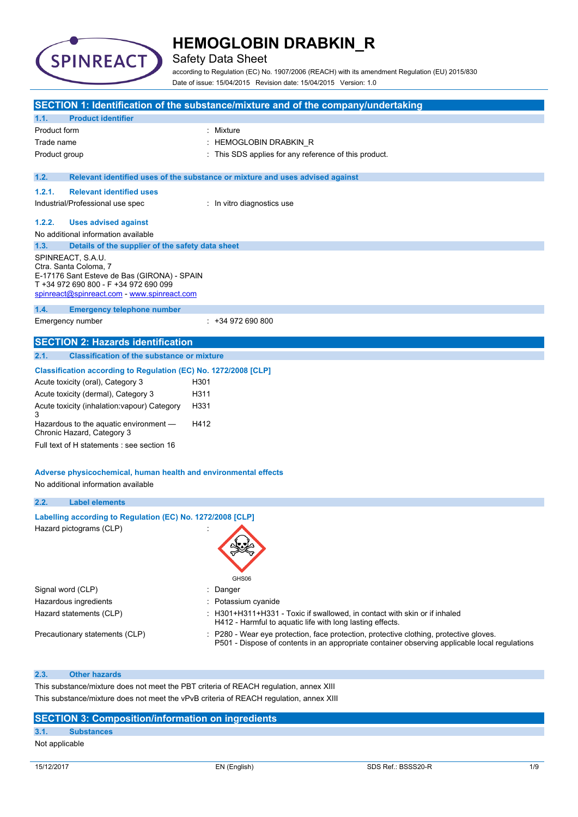

### Safety Data Sheet

according to Regulation (EC) No. 1907/2006 (REACH) with its amendment Regulation (EU) 2015/830 Date of issue: 15/04/2015 Revision date: 15/04/2015 Version: 1.0

|                                                                                        |                                                                                                                                                                                   | SECTION 1: Identification of the substance/mixture and of the company/undertaking                                                                                                       |  |
|----------------------------------------------------------------------------------------|-----------------------------------------------------------------------------------------------------------------------------------------------------------------------------------|-----------------------------------------------------------------------------------------------------------------------------------------------------------------------------------------|--|
| 1.1.                                                                                   | <b>Product identifier</b>                                                                                                                                                         |                                                                                                                                                                                         |  |
| Product form                                                                           |                                                                                                                                                                                   | : Mixture                                                                                                                                                                               |  |
| Trade name                                                                             |                                                                                                                                                                                   | HEMOGLOBIN DRABKIN_R                                                                                                                                                                    |  |
| Product group                                                                          |                                                                                                                                                                                   | This SDS applies for any reference of this product.                                                                                                                                     |  |
| 1.2.                                                                                   |                                                                                                                                                                                   | Relevant identified uses of the substance or mixture and uses advised against                                                                                                           |  |
| 1.2.1.                                                                                 | <b>Relevant identified uses</b>                                                                                                                                                   |                                                                                                                                                                                         |  |
|                                                                                        | Industrial/Professional use spec                                                                                                                                                  | : In vitro diagnostics use                                                                                                                                                              |  |
| 1.2.2.                                                                                 | <b>Uses advised against</b>                                                                                                                                                       |                                                                                                                                                                                         |  |
|                                                                                        | No additional information available                                                                                                                                               |                                                                                                                                                                                         |  |
| 1.3.                                                                                   | Details of the supplier of the safety data sheet                                                                                                                                  |                                                                                                                                                                                         |  |
|                                                                                        | SPINREACT, S.A.U.<br>Ctra. Santa Coloma, 7<br>E-17176 Sant Esteve de Bas (GIRONA) - SPAIN<br>T +34 972 690 800 - F +34 972 690 099<br>spinreact@spinreact.com - www.spinreact.com |                                                                                                                                                                                         |  |
| 1.4.                                                                                   | <b>Emergency telephone number</b>                                                                                                                                                 |                                                                                                                                                                                         |  |
|                                                                                        | Emergency number                                                                                                                                                                  | $: +34972690800$                                                                                                                                                                        |  |
|                                                                                        | <b>SECTION 2: Hazards identification</b>                                                                                                                                          |                                                                                                                                                                                         |  |
| 2.1.                                                                                   | <b>Classification of the substance or mixture</b>                                                                                                                                 |                                                                                                                                                                                         |  |
|                                                                                        | Classification according to Regulation (EC) No. 1272/2008 [CLP]                                                                                                                   |                                                                                                                                                                                         |  |
|                                                                                        | Acute toxicity (oral), Category 3                                                                                                                                                 | H301                                                                                                                                                                                    |  |
|                                                                                        | Acute toxicity (dermal), Category 3                                                                                                                                               | H311                                                                                                                                                                                    |  |
| 3                                                                                      | Acute toxicity (inhalation: vapour) Category                                                                                                                                      | H331                                                                                                                                                                                    |  |
|                                                                                        | Hazardous to the aquatic environment -<br>Chronic Hazard, Category 3                                                                                                              | H412                                                                                                                                                                                    |  |
|                                                                                        | Full text of H statements : see section 16                                                                                                                                        |                                                                                                                                                                                         |  |
|                                                                                        | Adverse physicochemical, human health and environmental effects<br>No additional information available                                                                            |                                                                                                                                                                                         |  |
| 2.2.                                                                                   | <b>Label elements</b>                                                                                                                                                             |                                                                                                                                                                                         |  |
|                                                                                        | Labelling according to Regulation (EC) No. 1272/2008 [CLP]                                                                                                                        |                                                                                                                                                                                         |  |
|                                                                                        | Hazard pictograms (CLP)                                                                                                                                                           | GHS06                                                                                                                                                                                   |  |
| Signal word (CLP)                                                                      |                                                                                                                                                                                   | Danger                                                                                                                                                                                  |  |
|                                                                                        | Hazardous ingredients                                                                                                                                                             | Potassium cyanide                                                                                                                                                                       |  |
|                                                                                        | Hazard statements (CLP)                                                                                                                                                           | : H301+H311+H331 - Toxic if swallowed, in contact with skin or if inhaled<br>H412 - Harmful to aquatic life with long lasting effects.                                                  |  |
|                                                                                        | Precautionary statements (CLP)                                                                                                                                                    | : P280 - Wear eye protection, face protection, protective clothing, protective gloves.<br>P501 - Dispose of contents in an appropriate container observing applicable local regulations |  |
| 2.3.                                                                                   | <b>Other hazards</b>                                                                                                                                                              |                                                                                                                                                                                         |  |
|                                                                                        |                                                                                                                                                                                   | This substance/mixture does not meet the PBT criteria of REACH regulation, annex XIII                                                                                                   |  |
| This substance/mixture does not meet the vPvB criteria of REACH regulation, annex XIII |                                                                                                                                                                                   |                                                                                                                                                                                         |  |

### **SECTION 3: Composition/information on ingredients**

### **3.1. Substances**

Not applicable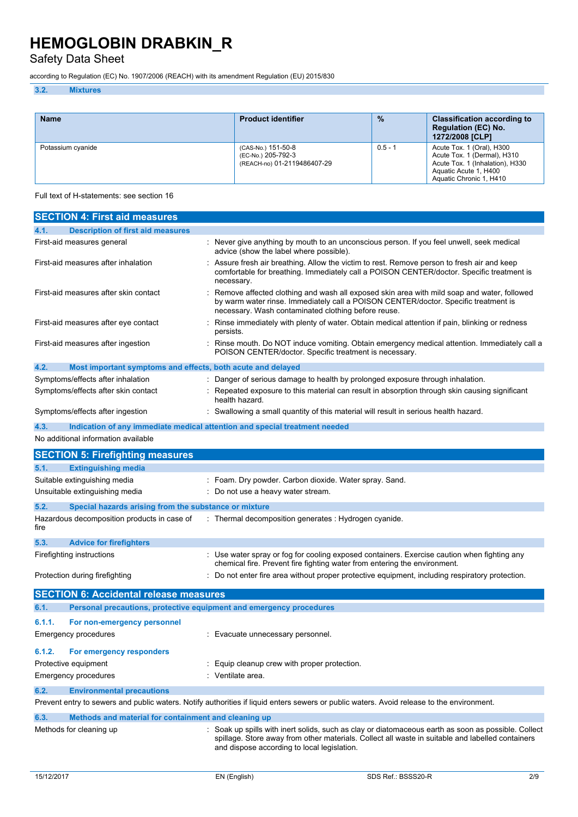Safety Data Sheet

according to Regulation (EC) No. 1907/2006 (REACH) with its amendment Regulation (EU) 2015/830

### **3.2. Mixtures**

| <b>Name</b>       | <b>Product identifier</b>                                               | $\frac{9}{6}$ | <b>Classification according to</b><br><b>Regulation (EC) No.</b><br>1272/2008 [CLP]                                                             |
|-------------------|-------------------------------------------------------------------------|---------------|-------------------------------------------------------------------------------------------------------------------------------------------------|
| Potassium cyanide | (CAS-No.) 151-50-8<br>(EC-No.) 205-792-3<br>(REACH-no) 01-2119486407-29 | $0.5 - 1$     | Acute Tox. 1 (Oral), H300<br>Acute Tox. 1 (Dermal), H310<br>Acute Tox. 1 (Inhalation), H330<br>Aquatic Acute 1, H400<br>Aquatic Chronic 1, H410 |

Full text of H-statements: see section 16

| <b>SECTION 4: First aid measures</b>                                        |                                                                                                                                                                                                                                          |
|-----------------------------------------------------------------------------|------------------------------------------------------------------------------------------------------------------------------------------------------------------------------------------------------------------------------------------|
| <b>Description of first aid measures</b><br>4.1.                            |                                                                                                                                                                                                                                          |
| First-aid measures general                                                  | Never give anything by mouth to an unconscious person. If you feel unwell, seek medical<br>advice (show the label where possible).                                                                                                       |
| First-aid measures after inhalation                                         | Assure fresh air breathing. Allow the victim to rest. Remove person to fresh air and keep<br>comfortable for breathing. Immediately call a POISON CENTER/doctor. Specific treatment is<br>necessary.                                     |
| First-aid measures after skin contact                                       | Remove affected clothing and wash all exposed skin area with mild soap and water, followed<br>by warm water rinse. Immediately call a POISON CENTER/doctor. Specific treatment is<br>necessary. Wash contaminated clothing before reuse. |
| First-aid measures after eye contact                                        | Rinse immediately with plenty of water. Obtain medical attention if pain, blinking or redness<br>persists.                                                                                                                               |
| First-aid measures after ingestion                                          | Rinse mouth. Do NOT induce vomiting. Obtain emergency medical attention. Immediately call a<br>POISON CENTER/doctor. Specific treatment is necessary.                                                                                    |
| 4.2.<br>Most important symptoms and effects, both acute and delayed         |                                                                                                                                                                                                                                          |
| Symptoms/effects after inhalation                                           | Danger of serious damage to health by prolonged exposure through inhalation.                                                                                                                                                             |
| Symptoms/effects after skin contact                                         | Repeated exposure to this material can result in absorption through skin causing significant<br>health hazard.                                                                                                                           |
| Symptoms/effects after ingestion                                            | Swallowing a small quantity of this material will result in serious health hazard.                                                                                                                                                       |
| 4.3.                                                                        | Indication of any immediate medical attention and special treatment needed                                                                                                                                                               |
| No additional information available                                         |                                                                                                                                                                                                                                          |
| <b>SECTION 5: Firefighting measures</b>                                     |                                                                                                                                                                                                                                          |
| 5.1.<br><b>Extinguishing media</b>                                          |                                                                                                                                                                                                                                          |
| Suitable extinguishing media                                                | : Foam. Dry powder. Carbon dioxide. Water spray. Sand.                                                                                                                                                                                   |
| Unsuitable extinguishing media                                              | Do not use a heavy water stream.                                                                                                                                                                                                         |
| 5.2.<br>Special hazards arising from the substance or mixture               |                                                                                                                                                                                                                                          |
| Hazardous decomposition products in case of<br>fire                         | : Thermal decomposition generates : Hydrogen cyanide.                                                                                                                                                                                    |
| 5.3.<br><b>Advice for firefighters</b>                                      |                                                                                                                                                                                                                                          |
| Firefighting instructions                                                   | Use water spray or fog for cooling exposed containers. Exercise caution when fighting any<br>chemical fire. Prevent fire fighting water from entering the environment.                                                                   |
| Protection during firefighting                                              | Do not enter fire area without proper protective equipment, including respiratory protection.                                                                                                                                            |
| <b>SECTION 6: Accidental release measures</b>                               |                                                                                                                                                                                                                                          |
| Personal precautions, protective equipment and emergency procedures<br>6.1. |                                                                                                                                                                                                                                          |
| 6.1.1.<br>For non-emergency personnel                                       |                                                                                                                                                                                                                                          |
| Emergency procedures                                                        | : Evacuate unnecessary personnel.                                                                                                                                                                                                        |
|                                                                             |                                                                                                                                                                                                                                          |
| 6.1.2.<br>For emergency responders                                          | Equip cleanup crew with proper protection.                                                                                                                                                                                               |
| Protective equipment<br>Emergency procedures                                | : Ventilate area.                                                                                                                                                                                                                        |
|                                                                             |                                                                                                                                                                                                                                          |
| 6.2.<br><b>Environmental precautions</b>                                    |                                                                                                                                                                                                                                          |
|                                                                             | Prevent entry to sewers and public waters. Notify authorities if liquid enters sewers or public waters. Avoid release to the environment.                                                                                                |
| 6.3.<br>Methods and material for containment and cleaning up                |                                                                                                                                                                                                                                          |
| Methods for cleaning up                                                     | : Soak up spills with inert solids, such as clay or diatomaceous earth as soon as possible. Collect<br>spillage. Store away from other materials. Collect all waste in suitable and labelled containers                                  |

and dispose according to local legislation.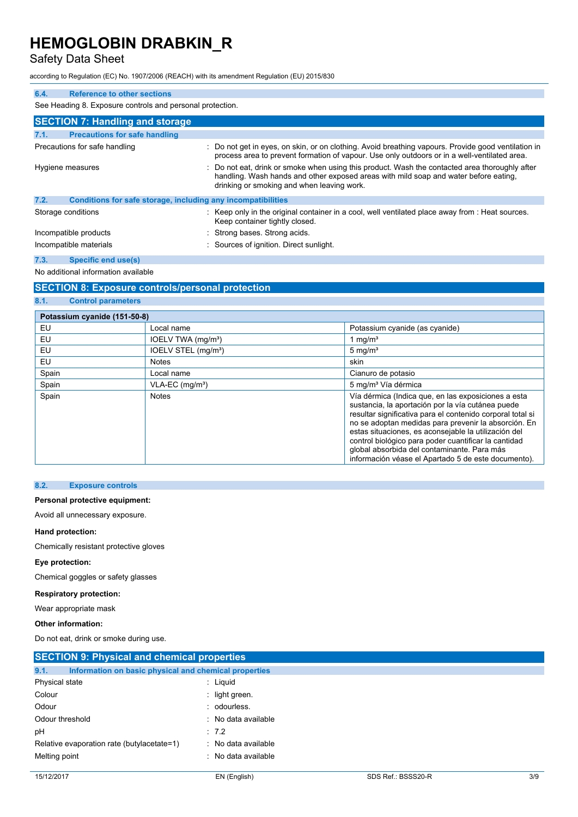### Safety Data Sheet

according to Regulation (EC) No. 1907/2006 (REACH) with its amendment Regulation (EU) 2015/830

| 6.4.                   | <b>Reference to other sections</b>                           |  |                                                                                                                                                                                                                                    |  |  |
|------------------------|--------------------------------------------------------------|--|------------------------------------------------------------------------------------------------------------------------------------------------------------------------------------------------------------------------------------|--|--|
|                        | See Heading 8. Exposure controls and personal protection.    |  |                                                                                                                                                                                                                                    |  |  |
|                        | <b>SECTION 7: Handling and storage</b>                       |  |                                                                                                                                                                                                                                    |  |  |
| 7.1.                   | <b>Precautions for safe handling</b>                         |  |                                                                                                                                                                                                                                    |  |  |
|                        | Precautions for safe handling                                |  | : Do not get in eyes, on skin, or on clothing. Avoid breathing vapours. Provide good ventilation in<br>process area to prevent formation of vapour. Use only outdoors or in a well-ventilated area.                                |  |  |
|                        | Hygiene measures                                             |  | Do not eat, drink or smoke when using this product. Wash the contacted area thoroughly after<br>handling. Wash hands and other exposed areas with mild soap and water before eating.<br>drinking or smoking and when leaving work. |  |  |
| 7.2.                   | Conditions for safe storage, including any incompatibilities |  |                                                                                                                                                                                                                                    |  |  |
|                        | Storage conditions                                           |  | : Keep only in the original container in a cool, well ventilated place away from : Heat sources.<br>Keep container tightly closed.                                                                                                 |  |  |
| Incompatible products  |                                                              |  | : Strong bases. Strong acids.                                                                                                                                                                                                      |  |  |
| Incompatible materials |                                                              |  | : Sources of ignition. Direct sunlight.                                                                                                                                                                                            |  |  |
| 7.3.                   | <b>Specific end use(s)</b>                                   |  |                                                                                                                                                                                                                                    |  |  |

No additional information available

**8.1. Control parameters**

### **SECTION 8: Exposure controls/personal protection**

| Potassium cyanide (151-50-8) |                                 |                                                                                                                                                                                                                                                                                                                                                                                                                                                      |
|------------------------------|---------------------------------|------------------------------------------------------------------------------------------------------------------------------------------------------------------------------------------------------------------------------------------------------------------------------------------------------------------------------------------------------------------------------------------------------------------------------------------------------|
| EU                           | Local name                      | Potassium cyanide (as cyanide)                                                                                                                                                                                                                                                                                                                                                                                                                       |
| EU                           | IOELV TWA (mg/m <sup>3</sup> )  | 1 mg/ $m3$                                                                                                                                                                                                                                                                                                                                                                                                                                           |
| EU                           | IOELV STEL (mg/m <sup>3</sup> ) | $5 \text{ mg/m}^3$                                                                                                                                                                                                                                                                                                                                                                                                                                   |
| <b>EU</b>                    | <b>Notes</b>                    | skin                                                                                                                                                                                                                                                                                                                                                                                                                                                 |
| Spain                        | Local name                      | Cianuro de potasio                                                                                                                                                                                                                                                                                                                                                                                                                                   |
| Spain                        | VLA-EC (mg/m <sup>3</sup> )     | 5 mg/m <sup>3</sup> Vía dérmica                                                                                                                                                                                                                                                                                                                                                                                                                      |
| Spain                        | <b>Notes</b>                    | Vía dérmica (Indica que, en las exposiciones a esta<br>sustancia, la aportación por la vía cutánea puede<br>resultar significativa para el contenido corporal total si<br>no se adoptan medidas para prevenir la absorción. En<br>estas situaciones, es aconsejable la utilización del<br>control biológico para poder cuantificar la cantidad<br>global absorbida del contaminante. Para más<br>información véase el Apartado 5 de este documento). |

#### **8.2. Exposure controls**

#### **Personal protective equipment:**

Avoid all unnecessary exposure.

#### **Hand protection:**

Chemically resistant protective gloves

#### **Eye protection:**

Chemical goggles or safety glasses

#### **Respiratory protection:**

Wear appropriate mask

#### **Other information:**

Do not eat, drink or smoke during use.

| <b>SECTION 9: Physical and chemical properties</b>            |                     |  |  |
|---------------------------------------------------------------|---------------------|--|--|
| 9.1.<br>Information on basic physical and chemical properties |                     |  |  |
| Physical state                                                | : Liquid            |  |  |
| Colour                                                        | : light green.      |  |  |
| Odour                                                         | : odourless.        |  |  |
| Odour threshold                                               | : No data available |  |  |
| рH                                                            | :7.2                |  |  |
| Relative evaporation rate (butylacetate=1)                    | : No data available |  |  |
| Melting point                                                 | : No data available |  |  |
|                                                               |                     |  |  |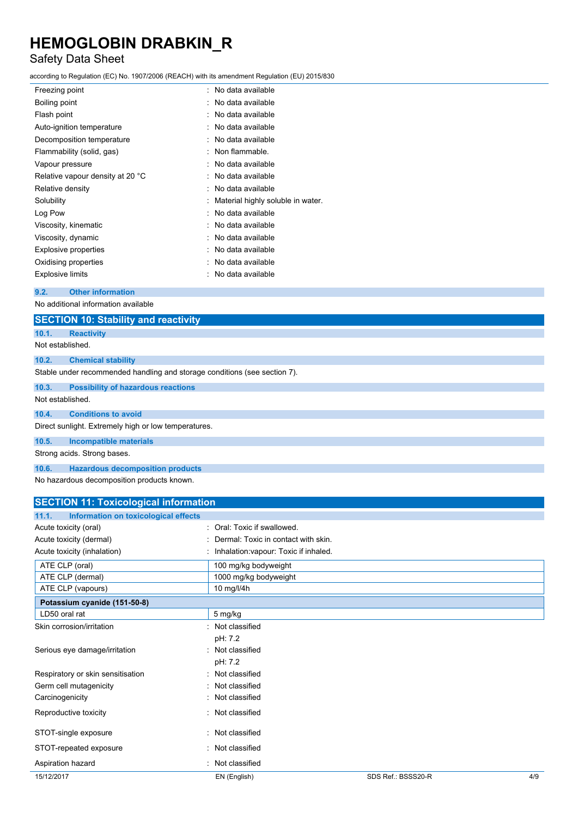## Safety Data Sheet

according to Regulation (EC) No. 1907/2006 (REACH) with its amendment Regulation (EU) 2015/830

| Freezing point                   | No data available                 |
|----------------------------------|-----------------------------------|
| Boiling point                    | No data available                 |
| Flash point                      | No data available                 |
| Auto-ignition temperature        | No data available                 |
| Decomposition temperature        | No data available                 |
| Flammability (solid, gas)        | Non flammable.                    |
| Vapour pressure                  | No data available                 |
| Relative vapour density at 20 °C | No data available                 |
| Relative density                 | No data available                 |
| Solubility                       | Material highly soluble in water. |
| Log Pow                          | No data available                 |
| Viscosity, kinematic             | No data available                 |
| Viscosity, dynamic               | No data available                 |
| <b>Explosive properties</b>      | No data available                 |
| Oxidising properties             | No data available                 |
| <b>Explosive limits</b>          | No data available                 |
|                                  |                                   |

### **9.2. Other information**

No additional information available

|                  | <b>SECTION 10: Stability and reactivity</b>                               |
|------------------|---------------------------------------------------------------------------|
| 10.1.            | <b>Reactivity</b>                                                         |
| Not established. |                                                                           |
| 10.2.            | <b>Chemical stability</b>                                                 |
|                  | Stable under recommended handling and storage conditions (see section 7). |
| 10.3.            | <b>Possibility of hazardous reactions</b>                                 |
| Not established. |                                                                           |
| 10.4.            | <b>Conditions to avoid</b>                                                |
|                  | Direct sunlight. Extremely high or low temperatures.                      |
| 10.5.            | Incompatible materials                                                    |
|                  | Strong acids. Strong bases.                                               |
| 10.6.            | <b>Hazardous decomposition products</b>                                   |

No hazardous decomposition products known.

| <b>SECTION 11: Toxicological information</b>  |                                       |                    |     |
|-----------------------------------------------|---------------------------------------|--------------------|-----|
| 11.1.<br>Information on toxicological effects |                                       |                    |     |
| Acute toxicity (oral)                         | : Oral: Toxic if swallowed.           |                    |     |
| Acute toxicity (dermal)                       | Dermal: Toxic in contact with skin.   |                    |     |
| Acute toxicity (inhalation)                   | Inhalation: vapour: Toxic if inhaled. |                    |     |
| ATE CLP (oral)                                | 100 mg/kg bodyweight                  |                    |     |
| ATE CLP (dermal)                              | 1000 mg/kg bodyweight                 |                    |     |
| ATE CLP (vapours)                             | 10 mg/l/4h                            |                    |     |
| Potassium cyanide (151-50-8)                  |                                       |                    |     |
| LD50 oral rat                                 | 5 mg/kg                               |                    |     |
| Skin corrosion/irritation                     | : Not classified                      |                    |     |
|                                               | pH: 7.2                               |                    |     |
| Serious eye damage/irritation                 | : Not classified                      |                    |     |
|                                               | pH: 7.2                               |                    |     |
| Respiratory or skin sensitisation             | : Not classified                      |                    |     |
| Germ cell mutagenicity                        | Not classified                        |                    |     |
| Carcinogenicity                               | : Not classified                      |                    |     |
| Reproductive toxicity                         | : Not classified                      |                    |     |
| STOT-single exposure                          | : Not classified                      |                    |     |
| STOT-repeated exposure                        | : Not classified                      |                    |     |
| Aspiration hazard                             | : Not classified                      |                    |     |
| 15/12/2017                                    | EN (English)                          | SDS Ref.: BSSS20-R | 4/9 |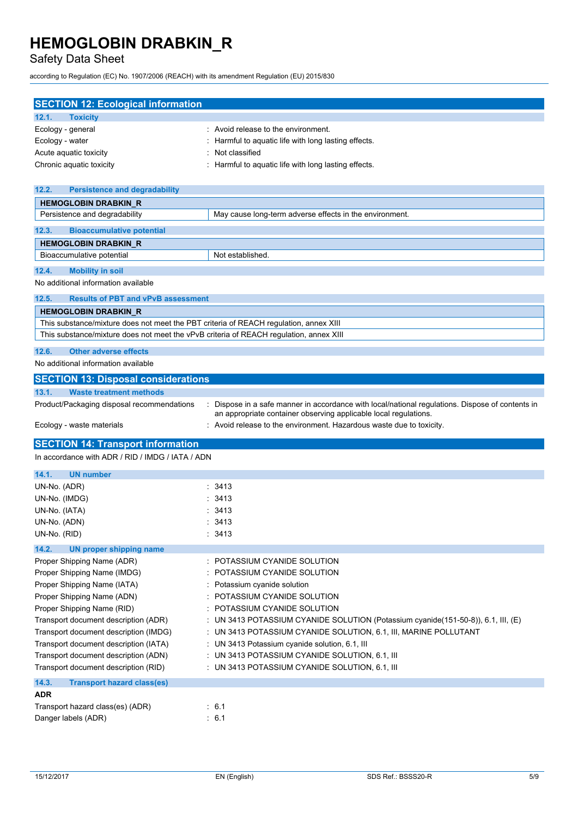Safety Data Sheet

according to Regulation (EC) No. 1907/2006 (REACH) with its amendment Regulation (EU) 2015/830

| <b>SECTION 12: Ecological information</b>                                              |                                                                                                  |
|----------------------------------------------------------------------------------------|--------------------------------------------------------------------------------------------------|
| <b>Toxicity</b><br>12.1.                                                               |                                                                                                  |
| Ecology - general                                                                      | : Avoid release to the environment.                                                              |
| Ecology - water                                                                        | : Harmful to aquatic life with long lasting effects.                                             |
| Acute aquatic toxicity                                                                 | Not classified                                                                                   |
| Chronic aquatic toxicity                                                               | : Harmful to aquatic life with long lasting effects.                                             |
|                                                                                        |                                                                                                  |
| 12.2.<br><b>Persistence and degradability</b>                                          |                                                                                                  |
| <b>HEMOGLOBIN DRABKIN R</b>                                                            |                                                                                                  |
| Persistence and degradability                                                          | May cause long-term adverse effects in the environment.                                          |
| 12.3.<br><b>Bioaccumulative potential</b>                                              |                                                                                                  |
| <b>HEMOGLOBIN DRABKIN_R</b>                                                            |                                                                                                  |
| Bioaccumulative potential                                                              | Not established.                                                                                 |
| 12.4.<br><b>Mobility in soil</b>                                                       |                                                                                                  |
| No additional information available                                                    |                                                                                                  |
| 12.5.<br><b>Results of PBT and vPvB assessment</b>                                     |                                                                                                  |
| <b>HEMOGLOBIN DRABKIN_R</b>                                                            |                                                                                                  |
| This substance/mixture does not meet the PBT criteria of REACH regulation, annex XIII  |                                                                                                  |
| This substance/mixture does not meet the vPvB criteria of REACH regulation, annex XIII |                                                                                                  |
| 12.6.<br><b>Other adverse effects</b>                                                  |                                                                                                  |
| No additional information available                                                    |                                                                                                  |
| <b>SECTION 13: Disposal considerations</b>                                             |                                                                                                  |
|                                                                                        |                                                                                                  |
| 13.1.<br><b>Waste treatment methods</b><br>Product/Packaging disposal recommendations  | : Dispose in a safe manner in accordance with local/national regulations. Dispose of contents in |
|                                                                                        | an appropriate container observing applicable local regulations.                                 |
|                                                                                        |                                                                                                  |
| Ecology - waste materials                                                              | : Avoid release to the environment. Hazardous waste due to toxicity.                             |
|                                                                                        |                                                                                                  |
| <b>SECTION 14: Transport information</b>                                               |                                                                                                  |
| In accordance with ADR / RID / IMDG / IATA / ADN                                       |                                                                                                  |
| 14.1.<br><b>UN number</b>                                                              |                                                                                                  |
| UN-No. (ADR)                                                                           | : 3413                                                                                           |
| UN-No. (IMDG)                                                                          | : 3413                                                                                           |
| UN-No. (IATA)                                                                          | : 3413                                                                                           |
| UN-No. (ADN)                                                                           | :3413                                                                                            |
| UN-No. (RID)                                                                           | :3413                                                                                            |
| 14.2.<br><b>UN proper shipping name</b>                                                |                                                                                                  |
| Proper Shipping Name (ADR)                                                             | : POTASSIUM CYANIDE SOLUTION                                                                     |
| Proper Shipping Name (IMDG)                                                            | : POTASSIUM CYANIDE SOLUTION                                                                     |
| Proper Shipping Name (IATA)                                                            | : Potassium cyanide solution                                                                     |
| Proper Shipping Name (ADN)                                                             | : POTASSIUM CYANIDE SOLUTION                                                                     |
| Proper Shipping Name (RID)                                                             | : POTASSIUM CYANIDE SOLUTION                                                                     |
| Transport document description (ADR)                                                   | : UN 3413 POTASSIUM CYANIDE SOLUTION (Potassium cyanide(151-50-8)), 6.1, III, (E)                |
| Transport document description (IMDG)                                                  | : UN 3413 POTASSIUM CYANIDE SOLUTION, 6.1, III, MARINE POLLUTANT                                 |
| Transport document description (IATA)                                                  | : UN 3413 Potassium cyanide solution, 6.1, III                                                   |
| Transport document description (ADN)                                                   | : UN 3413 POTASSIUM CYANIDE SOLUTION, 6.1, III                                                   |
| Transport document description (RID)                                                   | : UN 3413 POTASSIUM CYANIDE SOLUTION, 6.1, III                                                   |
| 14.3.<br><b>Transport hazard class(es)</b>                                             |                                                                                                  |
| <b>ADR</b>                                                                             |                                                                                                  |
| Transport hazard class(es) (ADR)<br>Danger labels (ADR)                                | :6.1<br>: 6.1                                                                                    |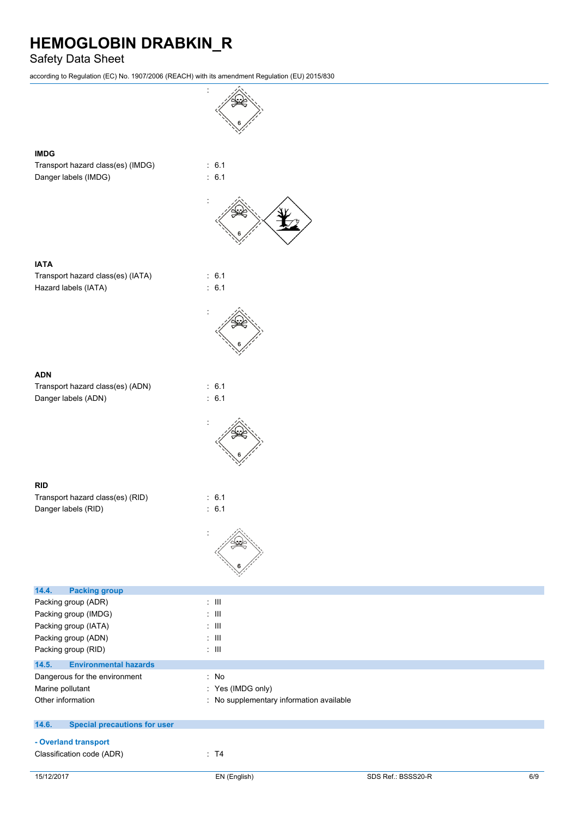### Safety Data Sheet

according to Regulation (EC) No. 1907/2006 (REACH) with its amendment Regulation (EU) 2015/830

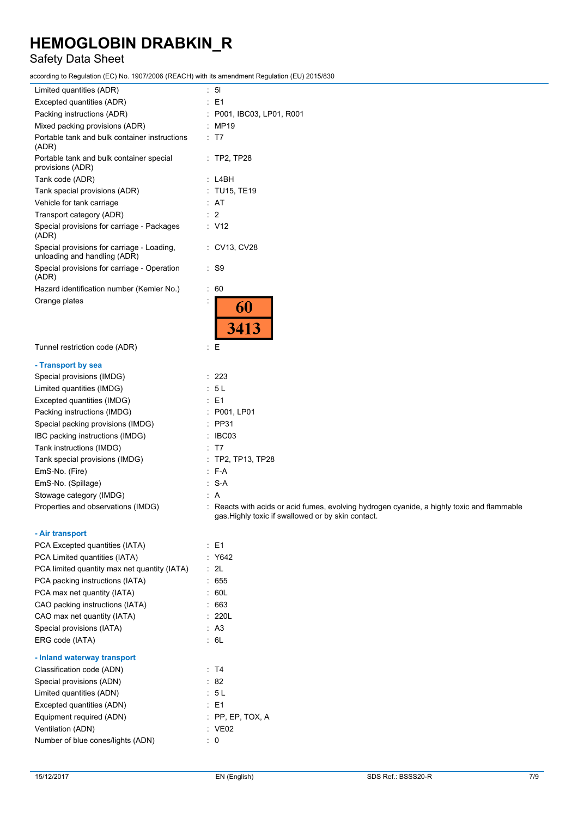## Safety Data Sheet

according to Regulation (EC) No. 1907/2006 (REACH) with its amendment Regulation (EU) 2015/830

| Limited quantities (ADR)                                                   | 5 <sub>1</sub><br>t.    |
|----------------------------------------------------------------------------|-------------------------|
| Excepted quantities (ADR)                                                  | E1                      |
| Packing instructions (ADR)                                                 | P001, IBC03, LP01, R001 |
| Mixed packing provisions (ADR)                                             | MP19                    |
| Portable tank and bulk container instructions<br>(ADR)                     | T7                      |
| Portable tank and bulk container special<br>provisions (ADR)               | $:$ TP2, TP28           |
| Tank code (ADR)                                                            | L4BH                    |
| Tank special provisions (ADR)                                              | <b>TU15, TE19</b>       |
| Vehicle for tank carriage                                                  | AT                      |
| Transport category (ADR)                                                   | 2                       |
| Special provisions for carriage - Packages<br>(ADR)                        | : V12                   |
| Special provisions for carriage - Loading,<br>unloading and handling (ADR) | CV13, CV28              |
| Special provisions for carriage - Operation<br>(ADR)                       | S <sub>9</sub>          |
| Hazard identification number (Kemler No.)                                  | 60<br>÷                 |
| Orange plates                                                              | <b>60</b><br>3413       |
| Tunnel restriction code (ADR)                                              | t<br>Ε                  |
| - Transport by sea                                                         |                         |
| Special provisions (IMDG)                                                  | 223                     |
| Limited quantities (IMDG)                                                  | 5L                      |
| Excepted quantities (IMDG)                                                 | E1                      |
| Packing instructions (IMDG)                                                | P001, LP01              |
| Special packing provisions (IMDG)                                          | <b>PP31</b>             |
| IBC packing instructions (IMDG)                                            | IBC03                   |
| Tank instructions (IMDG)                                                   | T7                      |
| Tank special provisions (IMDG)                                             | TP2, TP13, TP28         |
| EmS-No. (Fire)                                                             | $F-A$                   |
|                                                                            |                         |

Stowage category (IMDG) : A

**- Air transport**

| - All transport                              |                    |
|----------------------------------------------|--------------------|
| PCA Excepted quantities (IATA)               | : E1               |
| PCA Limited quantities (IATA)                | : Y642             |
| PCA limited quantity max net quantity (IATA) | : 2L               |
| PCA packing instructions (IATA)              | 655                |
| PCA max net quantity (IATA)                  | : 60L              |
| CAO packing instructions (IATA)              | : 663              |
| CAO max net quantity (IATA)                  | : 220L             |
| Special provisions (IATA)                    | : A3               |
| ERG code (IATA)                              | : 6L               |
| - Inland waterway transport                  |                    |
| Classification code (ADN)                    | : T4               |
| Special provisions (ADN)                     | : 82               |
| Limited quantities (ADN)                     | : 5 L              |
| Excepted quantities (ADN)                    | : E1               |
| Equipment required (ADN)                     | $:$ PP, EP, TOX, A |
| Ventilation (ADN)                            | : VE02             |
| Number of blue cones/lights (ADN)            | 0                  |
|                                              |                    |

EmS-No. (Spillage) : S-A

Properties and observations (IMDG) : Reacts with acids or acid fumes, evolving hydrogen cyanide, a highly toxic and flammable gas.Highly toxic if swallowed or by skin contact.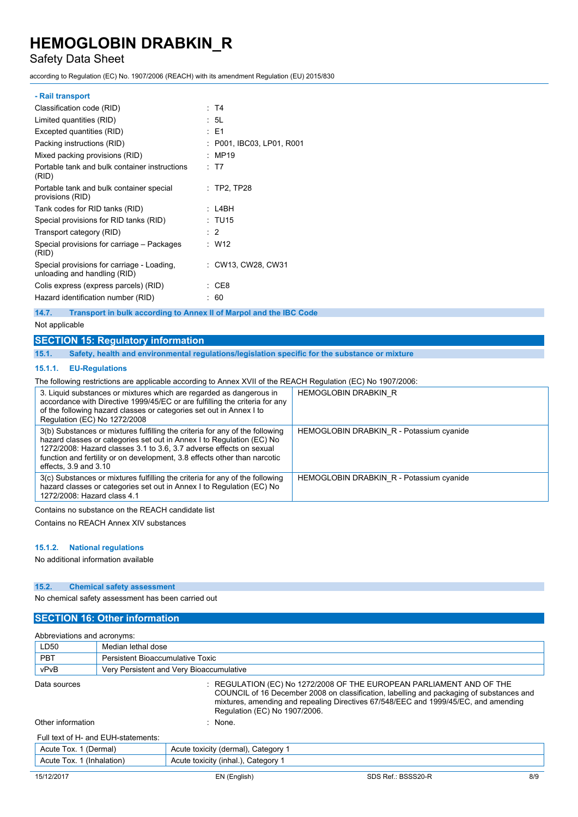### Safety Data Sheet

according to Regulation (EC) No. 1907/2006 (REACH) with its amendment Regulation (EU) 2015/830

| : T4                      |
|---------------------------|
| : 5L                      |
| : E1                      |
| : P001, IBC03, LP01, R001 |
| : MP19                    |
| : T7                      |
| $\therefore$ TP2, TP28    |
| : L4BH                    |
| : TU15                    |
| $\therefore$ 2            |
| : W12                     |
| : CW13, CW28, CW31        |
| CE8                       |
| : 60                      |
|                           |

**14.7. Transport in bulk according to Annex II of Marpol and the IBC Code**

#### Not applicable

### **SECTION 15: Regulatory information**

**15.1. Safety, health and environmental regulations/legislation specific for the substance or mixture**

#### **15.1.1. EU-Regulations**

The following restrictions are applicable according to Annex XVII of the REACH Regulation (EC) No 1907/2006:

| 3. Liquid substances or mixtures which are regarded as dangerous in<br>accordance with Directive 1999/45/EC or are fulfilling the criteria for any<br>of the following hazard classes or categories set out in Annex I to<br>Regulation (EC) No 1272/2008                                                                              | <b>HEMOGLOBIN DRABKIN R</b>              |
|----------------------------------------------------------------------------------------------------------------------------------------------------------------------------------------------------------------------------------------------------------------------------------------------------------------------------------------|------------------------------------------|
| 3(b) Substances or mixtures fulfilling the criteria for any of the following<br>hazard classes or categories set out in Annex I to Regulation (EC) No<br>1272/2008: Hazard classes 3.1 to 3.6, 3.7 adverse effects on sexual<br>function and fertility or on development, 3.8 effects other than narcotic<br>effects, $3.9$ and $3.10$ | HEMOGLOBIN DRABKIN R - Potassium cyanide |
| 3(c) Substances or mixtures fulfilling the criteria for any of the following<br>hazard classes or categories set out in Annex I to Regulation (EC) No<br>1272/2008: Hazard class 4.1                                                                                                                                                   | HEMOGLOBIN DRABKIN R - Potassium cyanide |
| Containe no subotance on the BEACH condidate liet                                                                                                                                                                                                                                                                                      |                                          |

Contains no substance on the REACH candidate list

Contains no REACH Annex XIV substances

#### **15.1.2. National regulations**

No additional information available

### **15.2. Chemical safety assessment**

No chemical safety assessment has been carried out

### **SECTION 16: Other information**

| Abbreviations and acronyms:                                                                                                                                                                                                                                                                                  |                                          |                                     |                    |     |
|--------------------------------------------------------------------------------------------------------------------------------------------------------------------------------------------------------------------------------------------------------------------------------------------------------------|------------------------------------------|-------------------------------------|--------------------|-----|
| LD50                                                                                                                                                                                                                                                                                                         | Median lethal dose                       |                                     |                    |     |
| <b>PBT</b>                                                                                                                                                                                                                                                                                                   | Persistent Bioaccumulative Toxic         |                                     |                    |     |
| vPvB                                                                                                                                                                                                                                                                                                         | Very Persistent and Very Bioaccumulative |                                     |                    |     |
| $\pm$ REGULATION (EC) No 1272/2008 OF THE EUROPEAN PARLIAMENT AND OF THE<br>Data sources<br>COUNCIL of 16 December 2008 on classification, labelling and packaging of substances and<br>mixtures, amending and repealing Directives 67/548/EEC and 1999/45/EC, and amending<br>Regulation (EC) No 1907/2006. |                                          |                                     |                    |     |
| Other information<br>$:$ None.                                                                                                                                                                                                                                                                               |                                          |                                     |                    |     |
|                                                                                                                                                                                                                                                                                                              | Full text of H- and EUH-statements:      |                                     |                    |     |
| Acute Tox. 1 (Dermal)                                                                                                                                                                                                                                                                                        |                                          | Acute toxicity (dermal), Category 1 |                    |     |
| Acute Tox. 1 (Inhalation)                                                                                                                                                                                                                                                                                    |                                          | Acute toxicity (inhal.), Category 1 |                    |     |
| 15/12/2017                                                                                                                                                                                                                                                                                                   |                                          | EN (English)                        | SDS Ref.: BSSS20-R | 8/9 |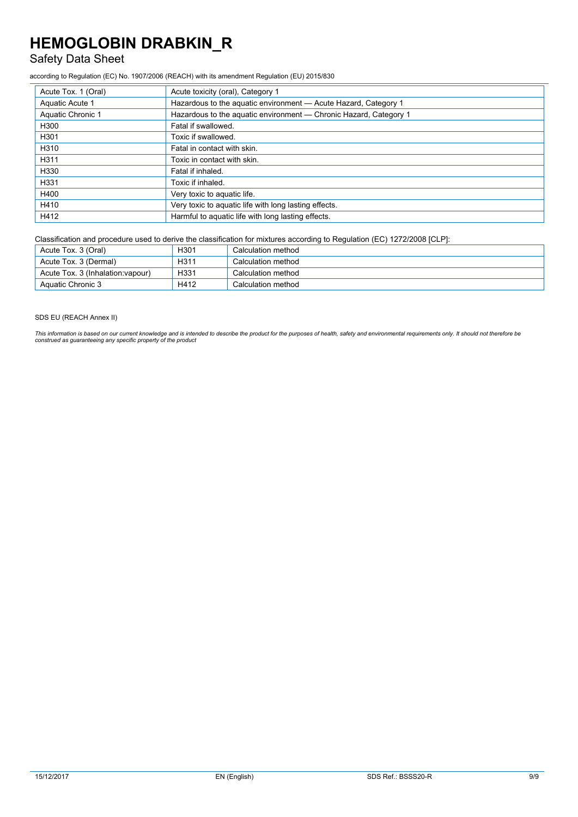## Safety Data Sheet

according to Regulation (EC) No. 1907/2006 (REACH) with its amendment Regulation (EU) 2015/830

| Acute Tox. 1 (Oral) | Acute toxicity (oral), Category 1                                 |
|---------------------|-------------------------------------------------------------------|
| Aquatic Acute 1     | Hazardous to the aquatic environment - Acute Hazard, Category 1   |
| Aquatic Chronic 1   | Hazardous to the aquatic environment - Chronic Hazard, Category 1 |
| H300                | Fatal if swallowed.                                               |
| H301                | Toxic if swallowed.                                               |
| H310                | Fatal in contact with skin.                                       |
| H311                | Toxic in contact with skin.                                       |
| H330                | Fatal if inhaled.                                                 |
| H331                | Toxic if inhaled.                                                 |
| H400                | Very toxic to aquatic life.                                       |
| H410                | Very toxic to aquatic life with long lasting effects.             |
| H412                | Harmful to aquatic life with long lasting effects.                |

Classification and procedure used to derive the classification for mixtures according to Regulation (EC) 1272/2008 [CLP]:

| Acute Tox. 3 (Oral)               | H <sub>301</sub> | Calculation method |
|-----------------------------------|------------------|--------------------|
| Acute Tox. 3 (Dermal)             | H <sub>311</sub> | Calculation method |
| Acute Tox. 3 (Inhalation: vapour) | H331             | Calculation method |
| Aquatic Chronic 3                 | H412             | Calculation method |

#### SDS EU (REACH Annex II)

This information is based on our current knowledge and is intended to describe the product for the purposes of health, safety and environmental requirements only. It should not therefore be<br>construed as guaranteeing any sp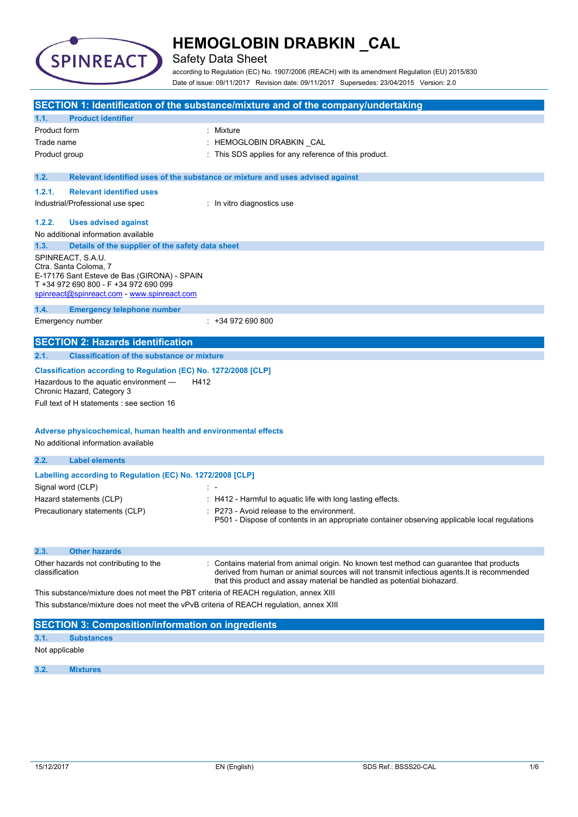

### Safety Data Sheet

according to Regulation (EC) No. 1907/2006 (REACH) with its amendment Regulation (EU) 2015/830 Date of issue: 09/11/2017 Revision date: 09/11/2017 Supersedes: 23/04/2015 Version: 2.0

|                |                                                                                                                                                                                                                                                                                                                                  | SECTION 1: Identification of the substance/mixture and of the company/undertaking                                                                                                                                                                                |
|----------------|----------------------------------------------------------------------------------------------------------------------------------------------------------------------------------------------------------------------------------------------------------------------------------------------------------------------------------|------------------------------------------------------------------------------------------------------------------------------------------------------------------------------------------------------------------------------------------------------------------|
| 1.1.           | <b>Product identifier</b>                                                                                                                                                                                                                                                                                                        |                                                                                                                                                                                                                                                                  |
| Product form   |                                                                                                                                                                                                                                                                                                                                  | : Mixture                                                                                                                                                                                                                                                        |
| Trade name     |                                                                                                                                                                                                                                                                                                                                  | : HEMOGLOBIN DRABKIN _CAL                                                                                                                                                                                                                                        |
| Product group  |                                                                                                                                                                                                                                                                                                                                  | : This SDS applies for any reference of this product.                                                                                                                                                                                                            |
| 1.2.           |                                                                                                                                                                                                                                                                                                                                  | Relevant identified uses of the substance or mixture and uses advised against                                                                                                                                                                                    |
|                |                                                                                                                                                                                                                                                                                                                                  |                                                                                                                                                                                                                                                                  |
| 1.2.1.         | <b>Relevant identified uses</b>                                                                                                                                                                                                                                                                                                  |                                                                                                                                                                                                                                                                  |
|                | Industrial/Professional use spec                                                                                                                                                                                                                                                                                                 | : In vitro diagnostics use                                                                                                                                                                                                                                       |
| 1.2.2.         | <b>Uses advised against</b>                                                                                                                                                                                                                                                                                                      |                                                                                                                                                                                                                                                                  |
|                | No additional information available                                                                                                                                                                                                                                                                                              |                                                                                                                                                                                                                                                                  |
| 1.3.           | Details of the supplier of the safety data sheet                                                                                                                                                                                                                                                                                 |                                                                                                                                                                                                                                                                  |
|                | SPINREACT, S.A.U.<br>Ctra. Santa Coloma, 7<br>E-17176 Sant Esteve de Bas (GIRONA) - SPAIN<br>T +34 972 690 800 - F +34 972 690 099<br>spinreact@spinreact.com - www.spinreact.com                                                                                                                                                |                                                                                                                                                                                                                                                                  |
| 1.4.           | <b>Emergency telephone number</b>                                                                                                                                                                                                                                                                                                |                                                                                                                                                                                                                                                                  |
|                | Emergency number                                                                                                                                                                                                                                                                                                                 | $: +34972690800$                                                                                                                                                                                                                                                 |
|                | <b>SECTION 2: Hazards identification</b>                                                                                                                                                                                                                                                                                         |                                                                                                                                                                                                                                                                  |
| 2.1.           | <b>Classification of the substance or mixture</b>                                                                                                                                                                                                                                                                                |                                                                                                                                                                                                                                                                  |
| 2.2.           | Classification according to Regulation (EC) No. 1272/2008 [CLP]<br>Hazardous to the aquatic environment -<br>H412<br>Chronic Hazard, Category 3<br>Full text of H statements : see section 16<br>Adverse physicochemical, human health and environmental effects<br>No additional information available<br><b>Label elements</b> |                                                                                                                                                                                                                                                                  |
|                | Labelling according to Regulation (EC) No. 1272/2008 [CLP]                                                                                                                                                                                                                                                                       |                                                                                                                                                                                                                                                                  |
|                | Signal word (CLP)                                                                                                                                                                                                                                                                                                                |                                                                                                                                                                                                                                                                  |
|                | Hazard statements (CLP)                                                                                                                                                                                                                                                                                                          | : H412 - Harmful to aquatic life with long lasting effects.                                                                                                                                                                                                      |
|                | Precautionary statements (CLP)                                                                                                                                                                                                                                                                                                   | : P273 - Avoid release to the environment.<br>P501 - Dispose of contents in an appropriate container observing applicable local regulations                                                                                                                      |
| 2.3.           | <b>Other hazards</b>                                                                                                                                                                                                                                                                                                             |                                                                                                                                                                                                                                                                  |
| classification | Other hazards not contributing to the                                                                                                                                                                                                                                                                                            | Contains material from animal origin. No known test method can guarantee that products<br>derived from human or animal sources will not transmit infectious agents. It is recommended<br>that this product and assay material be handled as potential biohazard. |
|                | This substance/mixture does not meet the PBT criteria of REACH regulation, annex XIII                                                                                                                                                                                                                                            |                                                                                                                                                                                                                                                                  |
|                | This substance/mixture does not meet the vPvB criteria of REACH regulation, annex XIII                                                                                                                                                                                                                                           |                                                                                                                                                                                                                                                                  |
|                | <b>SECTION 3: Composition/information on ingredients</b>                                                                                                                                                                                                                                                                         |                                                                                                                                                                                                                                                                  |
| 3.1.           | <b>Substances</b>                                                                                                                                                                                                                                                                                                                |                                                                                                                                                                                                                                                                  |
| Not applicable |                                                                                                                                                                                                                                                                                                                                  |                                                                                                                                                                                                                                                                  |
| 3.2.           | <b>Mixtures</b>                                                                                                                                                                                                                                                                                                                  |                                                                                                                                                                                                                                                                  |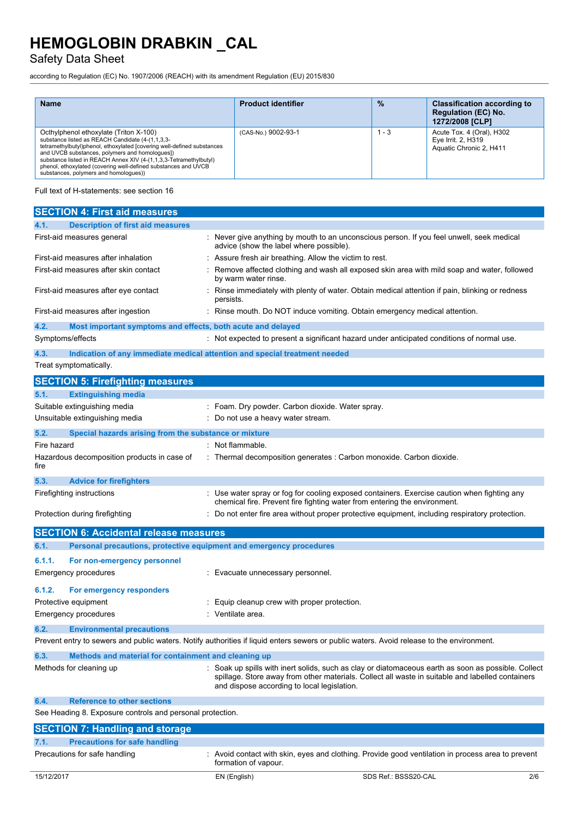Safety Data Sheet

according to Regulation (EC) No. 1907/2006 (REACH) with its amendment Regulation (EU) 2015/830

| <b>Name</b>                                                                                                                                                                                                                                                                                                                                                                                            | <b>Product identifier</b> | $\frac{9}{6}$ | <b>Classification according to</b><br><b>Regulation (EC) No.</b><br>1272/2008 [CLP] |
|--------------------------------------------------------------------------------------------------------------------------------------------------------------------------------------------------------------------------------------------------------------------------------------------------------------------------------------------------------------------------------------------------------|---------------------------|---------------|-------------------------------------------------------------------------------------|
| Octhylphenol ethoxylate (Triton X-100)<br>substance listed as REACH Candidate (4-(1,1,3,3-<br>tetramethylbutyl)phenol, ethoxylated [covering well-defined substances<br>and UVCB substances, polymers and homologues])<br>substance listed in REACH Annex XIV (4-(1,1,3,3-Tetramethylbutyl)<br>phenol, ethoxylated (covering well-defined substances and UVCB<br>substances, polymers and homologues)) | (CAS-No.) 9002-93-1       | $1 - 3$       | Acute Tox. 4 (Oral), H302<br>Eye Irrit. 2, H319<br>Aquatic Chronic 2, H411          |

Full text of H-statements: see section 16

| <b>SECTION 4: First aid measures</b>                                                                                                      |                                                       |                                                                                                                                                                          |     |
|-------------------------------------------------------------------------------------------------------------------------------------------|-------------------------------------------------------|--------------------------------------------------------------------------------------------------------------------------------------------------------------------------|-----|
| <b>Description of first aid measures</b><br>4.1.                                                                                          |                                                       |                                                                                                                                                                          |     |
| First-aid measures general                                                                                                                | advice (show the label where possible).               | : Never give anything by mouth to an unconscious person. If you feel unwell, seek medical                                                                                |     |
| First-aid measures after inhalation                                                                                                       | Assure fresh air breathing. Allow the victim to rest. |                                                                                                                                                                          |     |
| First-aid measures after skin contact                                                                                                     | by warm water rinse.                                  | Remove affected clothing and wash all exposed skin area with mild soap and water, followed                                                                               |     |
| First-aid measures after eye contact                                                                                                      | persists.                                             | Rinse immediately with plenty of water. Obtain medical attention if pain, blinking or redness                                                                            |     |
| First-aid measures after ingestion                                                                                                        |                                                       | : Rinse mouth. Do NOT induce vomiting. Obtain emergency medical attention.                                                                                               |     |
| 4.2.<br>Most important symptoms and effects, both acute and delayed                                                                       |                                                       |                                                                                                                                                                          |     |
| Symptoms/effects                                                                                                                          |                                                       | : Not expected to present a significant hazard under anticipated conditions of normal use.                                                                               |     |
| 4.3.<br>Indication of any immediate medical attention and special treatment needed                                                        |                                                       |                                                                                                                                                                          |     |
| Treat symptomatically.                                                                                                                    |                                                       |                                                                                                                                                                          |     |
| <b>SECTION 5: Firefighting measures</b>                                                                                                   |                                                       |                                                                                                                                                                          |     |
| 5.1.<br><b>Extinguishing media</b>                                                                                                        |                                                       |                                                                                                                                                                          |     |
| Suitable extinguishing media                                                                                                              | : Foam. Dry powder. Carbon dioxide. Water spray.      |                                                                                                                                                                          |     |
| Unsuitable extinguishing media                                                                                                            | : Do not use a heavy water stream.                    |                                                                                                                                                                          |     |
| 5.2.<br>Special hazards arising from the substance or mixture                                                                             |                                                       |                                                                                                                                                                          |     |
| Fire hazard                                                                                                                               | $:$ Not flammable.                                    |                                                                                                                                                                          |     |
| Hazardous decomposition products in case of<br>fire                                                                                       |                                                       | : Thermal decomposition generates : Carbon monoxide. Carbon dioxide.                                                                                                     |     |
|                                                                                                                                           |                                                       |                                                                                                                                                                          |     |
| 5.3.<br><b>Advice for firefighters</b>                                                                                                    |                                                       |                                                                                                                                                                          |     |
| Firefighting instructions                                                                                                                 |                                                       | : Use water spray or fog for cooling exposed containers. Exercise caution when fighting any<br>chemical fire. Prevent fire fighting water from entering the environment. |     |
| Protection during firefighting                                                                                                            |                                                       | : Do not enter fire area without proper protective equipment, including respiratory protection.                                                                          |     |
| <b>SECTION 6: Accidental release measures</b>                                                                                             |                                                       |                                                                                                                                                                          |     |
| Personal precautions, protective equipment and emergency procedures<br>6.1.                                                               |                                                       |                                                                                                                                                                          |     |
| 6.1.1.<br>For non-emergency personnel                                                                                                     |                                                       |                                                                                                                                                                          |     |
| Emergency procedures                                                                                                                      | : Evacuate unnecessary personnel.                     |                                                                                                                                                                          |     |
| 6.1.2.<br>For emergency responders                                                                                                        |                                                       |                                                                                                                                                                          |     |
| Protective equipment                                                                                                                      | Equip cleanup crew with proper protection.            |                                                                                                                                                                          |     |
| Emergency procedures                                                                                                                      | Ventilate area.                                       |                                                                                                                                                                          |     |
| 6.2.<br><b>Environmental precautions</b>                                                                                                  |                                                       |                                                                                                                                                                          |     |
| Prevent entry to sewers and public waters. Notify authorities if liquid enters sewers or public waters. Avoid release to the environment. |                                                       |                                                                                                                                                                          |     |
| 6.3.<br>Methods and material for containment and cleaning up                                                                              |                                                       |                                                                                                                                                                          |     |
| Methods for cleaning up                                                                                                                   |                                                       | Soak up spills with inert solids, such as clay or diatomaceous earth as soon as possible. Collect                                                                        |     |
|                                                                                                                                           | and dispose according to local legislation.           | spillage. Store away from other materials. Collect all waste in suitable and labelled containers                                                                         |     |
| <b>Reference to other sections</b><br>6.4.                                                                                                |                                                       |                                                                                                                                                                          |     |
| See Heading 8. Exposure controls and personal protection.                                                                                 |                                                       |                                                                                                                                                                          |     |
| <b>SECTION 7: Handling and storage</b>                                                                                                    |                                                       |                                                                                                                                                                          |     |
| <b>Precautions for safe handling</b><br>7.1.                                                                                              |                                                       |                                                                                                                                                                          |     |
| Precautions for safe handling                                                                                                             | formation of vapour.                                  | : Avoid contact with skin, eyes and clothing. Provide good ventilation in process area to prevent                                                                        |     |
| 15/12/2017                                                                                                                                | EN (English)                                          | SDS Ref.: BSSS20-CAL                                                                                                                                                     | 2/6 |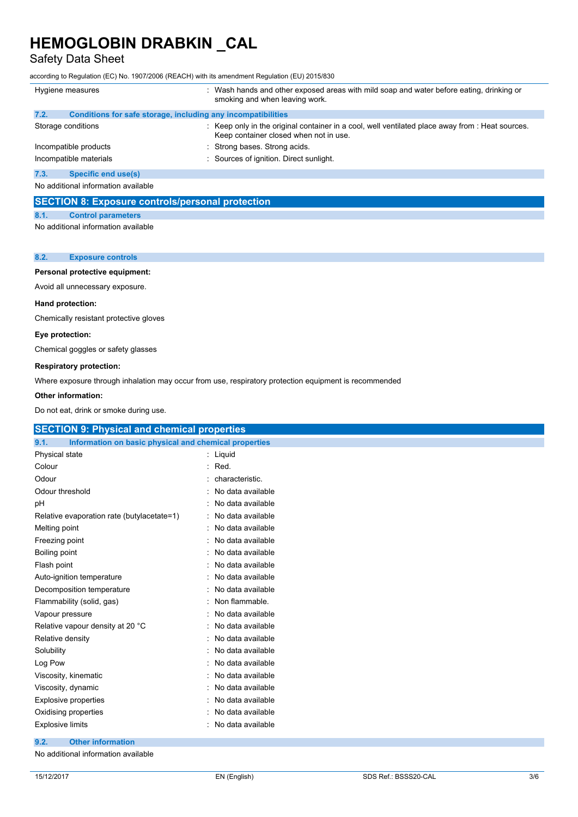Safety Data Sheet

according to Regulation (EC) No. 1907/2006 (REACH) with its amendment Regulation (EU) 2015/830

| Hygiene measures                                                     | : Wash hands and other exposed areas with mild soap and water before eating, drinking or<br>smoking and when leaving work.                 |  |  |
|----------------------------------------------------------------------|--------------------------------------------------------------------------------------------------------------------------------------------|--|--|
| 7.2.<br>Conditions for safe storage, including any incompatibilities |                                                                                                                                            |  |  |
| Storage conditions                                                   | : Keep only in the original container in a cool, well ventilated place away from : Heat sources.<br>Keep container closed when not in use. |  |  |
| Incompatible products                                                | : Strong bases. Strong acids.                                                                                                              |  |  |
| Incompatible materials                                               | : Sources of ignition. Direct sunlight.                                                                                                    |  |  |
| 7.3.<br><b>Specific end use(s)</b>                                   |                                                                                                                                            |  |  |
| No additional information available                                  |                                                                                                                                            |  |  |

#### **SECTION 8: Exposure controls/personal protection**

#### **8.1. Control parameters**

No additional information available

#### **8.2. Exposure controls**

#### **Personal protective equipment:**

Avoid all unnecessary exposure.

#### **Hand protection:**

Chemically resistant protective gloves

#### **Eye protection:**

Chemical goggles or safety glasses

#### **Respiratory protection:**

Where exposure through inhalation may occur from use, respiratory protection equipment is recommended

#### **Other information:**

Do not eat, drink or smoke during use.

| <b>SECTION 9: Physical and chemical properties</b>            |                   |
|---------------------------------------------------------------|-------------------|
| 9.1.<br>Information on basic physical and chemical properties |                   |
| Physical state                                                | : Liquid          |
| Colour                                                        | $:$ Red.          |
| Odour                                                         | characteristic.   |
| Odour threshold                                               | No data available |
| рH                                                            | No data available |
| Relative evaporation rate (butylacetate=1)                    | No data available |
| Melting point                                                 | No data available |
| Freezing point                                                | No data available |
| Boiling point                                                 | No data available |
| Flash point                                                   | No data available |
| Auto-ignition temperature                                     | No data available |
| Decomposition temperature                                     | No data available |
| Flammability (solid, gas)                                     | Non flammable.    |
| Vapour pressure                                               | No data available |
| Relative vapour density at 20 °C                              | No data available |
| Relative density                                              | No data available |
| Solubility                                                    | No data available |
| Log Pow                                                       | No data available |
| Viscosity, kinematic                                          | No data available |
| Viscosity, dynamic                                            | No data available |
| <b>Explosive properties</b>                                   | No data available |
| Oxidising properties                                          | No data available |
| <b>Explosive limits</b>                                       | No data available |
| 9.2.<br><b>Other information</b>                              |                   |

No additional information available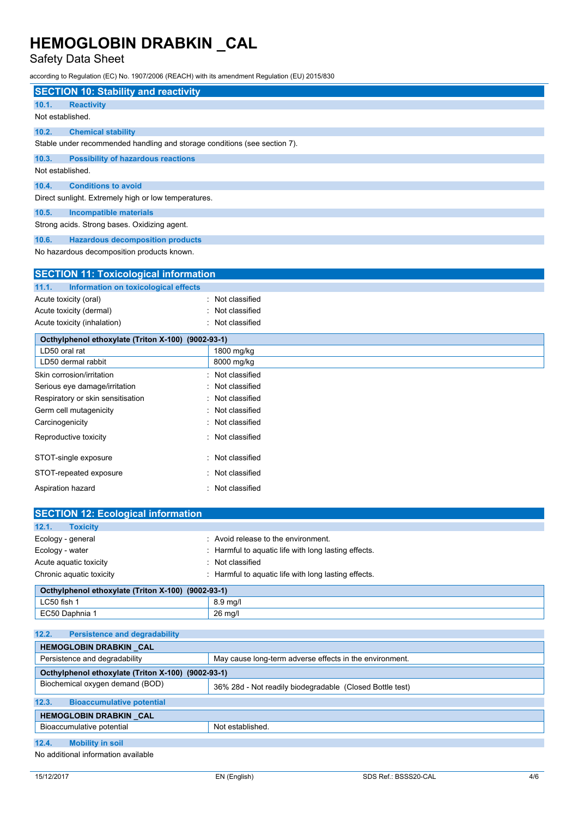Serious eye damage/irritation : Not classified Respiratory or skin sensitisation : Not classified Germ cell mutagenicity **in the case of the classified** in Not classified Carcinogenicity **Carcinogenicity** : Not classified Reproductive toxicity **in the COV** Reproductive toxicity **in the COV** Reproductive toxicity

STOT-single exposure : Not classified STOT-repeated exposure in the state of the STOT-repeated exposure

### Safety Data Sheet

according to Regulation (EC) No. 1907/2006 (REACH) with its amendment Regulation (EU) 2015/830

|                  | <b>SECTION 10: Stability and reactivity</b>                               |
|------------------|---------------------------------------------------------------------------|
| 10.1.            | <b>Reactivity</b>                                                         |
| Not established. |                                                                           |
| 10.2.            | <b>Chemical stability</b>                                                 |
|                  | Stable under recommended handling and storage conditions (see section 7). |
| 10.3.            | <b>Possibility of hazardous reactions</b>                                 |
| Not established. |                                                                           |
| 10.4.            | <b>Conditions to avoid</b>                                                |
|                  | Direct sunlight. Extremely high or low temperatures.                      |
| 10.5.            | <b>Incompatible materials</b>                                             |
|                  | Strong acids. Strong bases. Oxidizing agent.                              |
| 10.6.            | <b>Hazardous decomposition products</b>                                   |
|                  | No hazardous decomposition products known.                                |

| <b>SECTION 11: Toxicological information</b>       |                  |  |
|----------------------------------------------------|------------------|--|
| Information on toxicological effects<br>11.1.      |                  |  |
| Acute toxicity (oral)                              | : Not classified |  |
| Acute toxicity (dermal)                            | : Not classified |  |
| Acute toxicity (inhalation)                        | : Not classified |  |
| Octhylphenol ethoxylate (Triton X-100) (9002-93-1) |                  |  |
| LD50 oral rat                                      | 1800 mg/kg       |  |
| LD50 dermal rabbit                                 | 8000 mg/kg       |  |
| Skin corrosion/irritation                          | : Not classified |  |

| Aspiration hazard                                  | : Not classified                                     |  |  |
|----------------------------------------------------|------------------------------------------------------|--|--|
| <b>SECTION 12: Ecological information</b>          |                                                      |  |  |
|                                                    |                                                      |  |  |
| 12.1.<br><b>Toxicity</b>                           |                                                      |  |  |
| Ecology - general                                  | : Avoid release to the environment.                  |  |  |
| Ecology - water                                    | : Harmful to aguatic life with long lasting effects. |  |  |
| Acute aguatic toxicity                             | : Not classified                                     |  |  |
| Chronic aquatic toxicity                           | : Harmful to aguatic life with long lasting effects. |  |  |
| Octhylphenol ethoxylate (Triton X-100) (9002-93-1) |                                                      |  |  |
| $C$ <sub>50</sub> fich 1                           | $8.0 \text{ mol}$                                    |  |  |

| LUJU IISH I                                         | $0.9$ High                                               |
|-----------------------------------------------------|----------------------------------------------------------|
| EC50 Daphnia 1                                      | 26 mg/l                                                  |
|                                                     |                                                          |
| 12.2.<br><b>Persistence and degradability</b>       |                                                          |
| HEMOGLOBIN DRABKIN CAL                              |                                                          |
| Persistence and degradability                       | May cause long-term adverse effects in the environment.  |
| Octhylphenol ethoxylate (Triton X-100) (9002-93-1)  |                                                          |
| Biochemical oxygen demand (BOD)                     | 36% 28d - Not readily biodegradable (Closed Bottle test) |
| 12.3.<br><b>Bioaccumulative potential</b>           |                                                          |
| HEMOGLOBIN DRABKIN CAL                              |                                                          |
| Bioaccumulative potential                           | Not established.                                         |
|                                                     |                                                          |
| 12.4.<br><b>Mobility in soil</b>                    |                                                          |
| h le ce e delitie comunication de construit e le le |                                                          |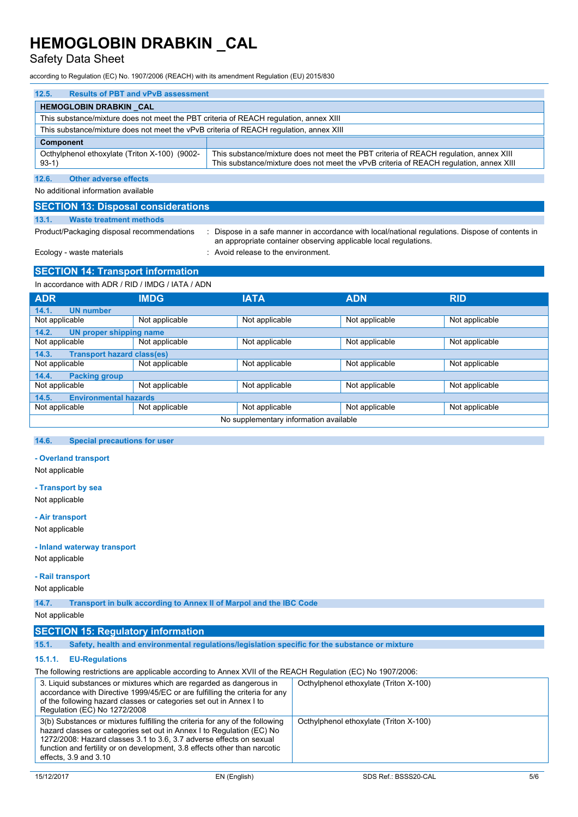### Safety Data Sheet

according to Regulation (EC) No. 1907/2006 (REACH) with its amendment Regulation (EU) 2015/830

| 12.5.<br><b>Results of PBT and vPvB assessment</b>                                     |                                                                                                                                                                                 |  |  |  |
|----------------------------------------------------------------------------------------|---------------------------------------------------------------------------------------------------------------------------------------------------------------------------------|--|--|--|
| <b>HEMOGLOBIN DRABKIN CAL</b>                                                          |                                                                                                                                                                                 |  |  |  |
| This substance/mixture does not meet the PBT criteria of REACH regulation, annex XIII  |                                                                                                                                                                                 |  |  |  |
| This substance/mixture does not meet the vPvB criteria of REACH regulation, annex XIII |                                                                                                                                                                                 |  |  |  |
| Component                                                                              |                                                                                                                                                                                 |  |  |  |
| Octhylphenol ethoxylate (Triton X-100) (9002-<br>$93-1)$                               | This substance/mixture does not meet the PBT criteria of REACH regulation, annex XIII<br>This substance/mixture does not meet the vPvB criteria of REACH regulation, annex XIII |  |  |  |

**12.6. Other adverse effects**

No additional information available

#### **SECTION 13: Disposal considerations**

#### **13.1. Waste treatment methods**

Product/Packaging disposal recommendations : Dispose in a safe manner in accordance with local/national regulations. Dispose of contents in an appropriate container observing applicable local regulations.

#### Ecology - waste materials **Ecology** - waste materials **interval** : Avoid release to the environment.

### **SECTION 14: Transport information**

| In accordance with ADR / RID / IMDG / IATA / ADN |                |                |                |                |
|--------------------------------------------------|----------------|----------------|----------------|----------------|
| <b>ADR</b>                                       | <b>IMDG</b>    | <b>IATA</b>    | <b>ADN</b>     | <b>RID</b>     |
| <b>UN number</b><br>14.1.                        |                |                |                |                |
| Not applicable                                   | Not applicable | Not applicable | Not applicable | Not applicable |
| 14.2.<br>UN proper shipping name                 |                |                |                |                |
| Not applicable                                   | Not applicable | Not applicable | Not applicable | Not applicable |
| <b>Transport hazard class(es)</b><br>14.3.       |                |                |                |                |
| Not applicable                                   | Not applicable | Not applicable | Not applicable | Not applicable |
| <b>Packing group</b><br>14.4.                    |                |                |                |                |
| Not applicable                                   | Not applicable | Not applicable | Not applicable | Not applicable |
| <b>Environmental hazards</b><br>14.5.            |                |                |                |                |
| Not applicable                                   | Not applicable | Not applicable | Not applicable | Not applicable |
| No supplementary information available           |                |                |                |                |

#### **14.6. Special precautions for user**

#### **- Overland transport**

Not applicable

#### **- Transport by sea**

Not applicable

#### **- Air transport**

Not applicable

#### **- Inland waterway transport**

Not applicable

### **- Rail transport**

Not applicable

**14.7. Transport in bulk according to Annex II of Marpol and the IBC Code**

#### Not applicable

### **SECTION 15: Regulatory information**

**15.1. Safety, health and environmental regulations/legislation specific for the substance or mixture**

#### **15.1.1. EU-Regulations**

The following restrictions are applicable according to Annex XVII of the REACH Regulation (EC) No 1907/2006:

| 3. Liquid substances or mixtures which are regarded as dangerous in<br>accordance with Directive 1999/45/EC or are fulfilling the criteria for any<br>of the following hazard classes or categories set out in Annex I to<br>Regulation (EC) No 1272/2008                                                                              | Octhylphenol ethoxylate (Triton X-100) |
|----------------------------------------------------------------------------------------------------------------------------------------------------------------------------------------------------------------------------------------------------------------------------------------------------------------------------------------|----------------------------------------|
| 3(b) Substances or mixtures fulfilling the criteria for any of the following<br>hazard classes or categories set out in Annex I to Regulation (EC) No<br>1272/2008: Hazard classes 3.1 to 3.6, 3.7 adverse effects on sexual<br>function and fertility or on development, 3.8 effects other than narcotic<br>effects, $3.9$ and $3.10$ | Octhylphenol ethoxylate (Triton X-100) |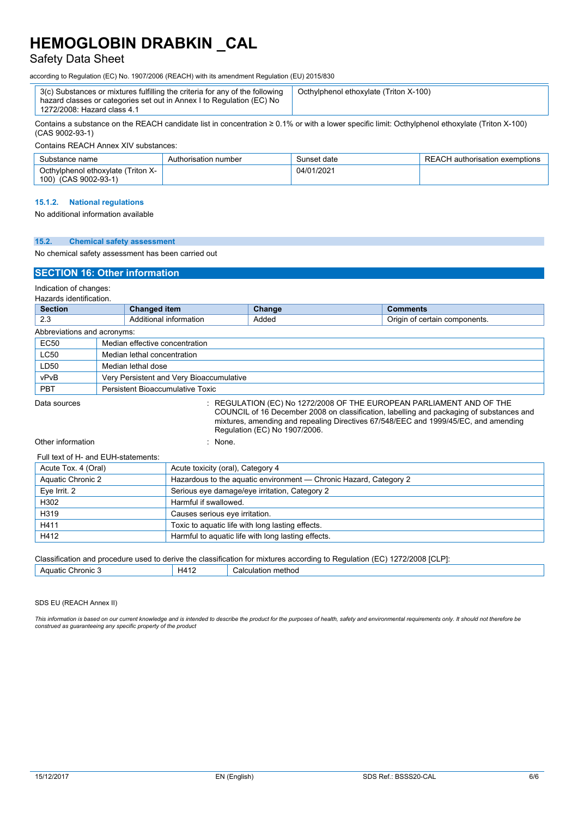### Safety Data Sheet

according to Regulation (EC) No. 1907/2006 (REACH) with its amendment Regulation (EU) 2015/830

| 3(c) Substances or mixtures fulfilling the criteria for any of the following<br>hazard classes or categories set out in Annex I to Regulation (EC) No<br>1272/2008: Hazard class 4.1 | Octhylphenol ethoxylate (Triton X-100) |
|--------------------------------------------------------------------------------------------------------------------------------------------------------------------------------------|----------------------------------------|
| $\sim$ $\sim$ $\sim$                                                                                                                                                                 |                                        |

Contains a substance on the REACH candidate list in concentration ≥ 0.1% or with a lower specific limit: Octhylphenol ethoxylate (Triton X-100) (CAS 9002-93-1)

Contains REACH Annex XIV substances:

| Substance name                                                | Authorisation number | Sunset date | REACH authorisation exemptions |
|---------------------------------------------------------------|----------------------|-------------|--------------------------------|
| Octhylphenol ethoxylate (Triton X-<br>(CAS 9002-93-1)<br>100) |                      | 04/01/2021  |                                |

#### **15.1.2. National regulations**

No additional information available

|  | 15.2. |  |  | <b>Chemical safety assessment</b> |
|--|-------|--|--|-----------------------------------|
|--|-------|--|--|-----------------------------------|

#### No chemical safety assessment has been carried out

#### **SECTION 16: Other information**

Indication of changes: Hazards identification.

| Hazarus luthulluation.<br><b>Section</b> | Changed item<br>Change<br><b>Comments</b> |                                          |  |                                                                                                                                                                |
|------------------------------------------|-------------------------------------------|------------------------------------------|--|----------------------------------------------------------------------------------------------------------------------------------------------------------------|
|                                          |                                           |                                          |  |                                                                                                                                                                |
| 2.3                                      | Additional information<br>Added           |                                          |  | Origin of certain components.                                                                                                                                  |
| Abbreviations and acronyms:              |                                           |                                          |  |                                                                                                                                                                |
| <b>EC50</b>                              |                                           | Median effective concentration           |  |                                                                                                                                                                |
| <b>LC50</b>                              | Median lethal concentration               |                                          |  |                                                                                                                                                                |
| LD50                                     |                                           | Median lethal dose                       |  |                                                                                                                                                                |
| vPvB                                     |                                           | Very Persistent and Very Bioaccumulative |  |                                                                                                                                                                |
| <b>PBT</b>                               | Persistent Bioaccumulative Toxic          |                                          |  |                                                                                                                                                                |
| Data sources                             |                                           |                                          |  | REGULATION (EC) No 1272/2008 OF THE EUROPEAN PARLIAMENT AND OF THE<br>COUNCIL of 16 December 2008 on classification, labelling and packaging of substances and |

mixtures, amending and repealing Directives 67/548/EEC and 1999/45/EC, and amending Regulation (EC) No 1907/2006.

Other information in the set of the set of the set of the set of the set of the set of the set of the set of the set of the set of the set of the set of the set of the set of the set of the set of the set of the set of the

| Full text of H- and EUH-statements: |                                                                   |
|-------------------------------------|-------------------------------------------------------------------|
| Acute Tox. 4 (Oral)                 | Acute toxicity (oral), Category 4                                 |
| Aquatic Chronic 2                   | Hazardous to the aquatic environment — Chronic Hazard, Category 2 |
| Eye Irrit. 2                        | Serious eye damage/eye irritation, Category 2                     |
| H302                                | Harmful if swallowed.                                             |
| H319                                | Causes serious eye irritation.                                    |
| H411                                | Toxic to aquatic life with long lasting effects.                  |
| H412                                | Harmful to aquatic life with long lasting effects.                |

#### Classification and procedure used to derive the classification for mixtures according to Regulation (EC) 1272/2008 [CLP]:

| $A4^T$<br>method<br>Calculatio<br>hronic<br>. IATIr<br>- 2<br>$\sim$ $\sim$ $\sim$ $\sim$<br>. |  |  |  |  |
|------------------------------------------------------------------------------------------------|--|--|--|--|
|                                                                                                |  |  |  |  |

#### SDS EU (REACH Annex II)

This information is based on our current knowledge and is intended to describe the product for the purposes of health, safety and environmental requirements only. It should not therefore be<br>construed as guaranteeing any sp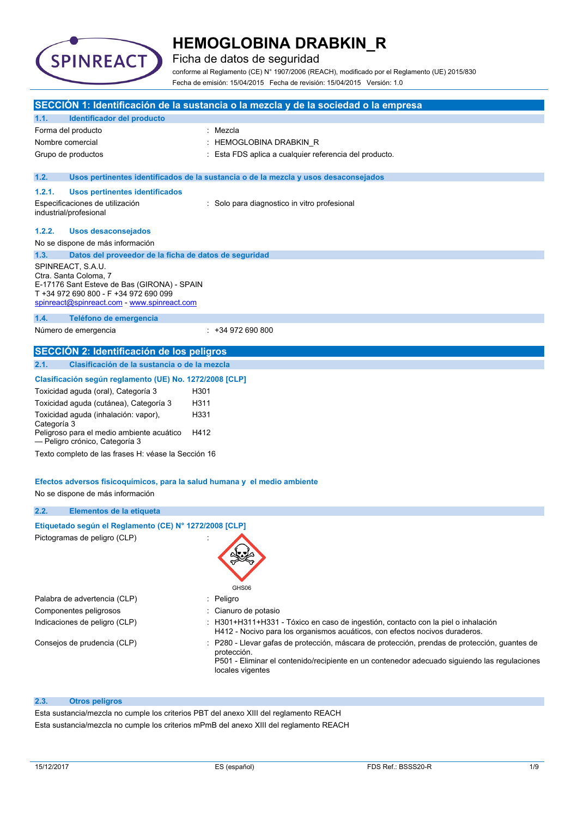

Ficha de datos de seguridad

conforme al Reglamento (CE) N° 1907/2006 (REACH), modificado por el Reglamento (UE) 2015/830 Fecha de emisión: 15/04/2015 Fecha de revisión: 15/04/2015 Versión: 1.0

|                  |                                                                                                                                                                                   |      | SECCIÓN 1: Identificación de la sustancia o la mezcla y de la sociedad o la empresa                                                                                                                                            |
|------------------|-----------------------------------------------------------------------------------------------------------------------------------------------------------------------------------|------|--------------------------------------------------------------------------------------------------------------------------------------------------------------------------------------------------------------------------------|
| 1.1.             | Identificador del producto                                                                                                                                                        |      |                                                                                                                                                                                                                                |
|                  | Forma del producto                                                                                                                                                                |      | : Mezcla                                                                                                                                                                                                                       |
| Nombre comercial |                                                                                                                                                                                   |      | : HEMOGLOBINA DRABKIN_R                                                                                                                                                                                                        |
|                  | Grupo de productos                                                                                                                                                                |      | Esta FDS aplica a cualquier referencia del producto.                                                                                                                                                                           |
| 1.2.             |                                                                                                                                                                                   |      | Usos pertinentes identificados de la sustancia o de la mezcla y usos desaconsejados                                                                                                                                            |
| 1.2.1.           | Usos pertinentes identificados                                                                                                                                                    |      |                                                                                                                                                                                                                                |
|                  | Especificaciones de utilización<br>industrial/profesional                                                                                                                         |      | : Solo para diagnostico in vitro profesional                                                                                                                                                                                   |
| 1.2.2.           | <b>Usos desaconsejados</b>                                                                                                                                                        |      |                                                                                                                                                                                                                                |
|                  | No se dispone de más información                                                                                                                                                  |      |                                                                                                                                                                                                                                |
| 1.3.             | Datos del proveedor de la ficha de datos de seguridad                                                                                                                             |      |                                                                                                                                                                                                                                |
|                  | SPINREACT, S.A.U.<br>Ctra. Santa Coloma, 7<br>E-17176 Sant Esteve de Bas (GIRONA) - SPAIN<br>T +34 972 690 800 - F +34 972 690 099<br>spinreact@spinreact.com - www.spinreact.com |      |                                                                                                                                                                                                                                |
| 1.4.             | Teléfono de emergencia                                                                                                                                                            |      |                                                                                                                                                                                                                                |
|                  | Número de emergencia                                                                                                                                                              |      | $: +34972690800$                                                                                                                                                                                                               |
|                  | SECCIÓN 2: Identificación de los peligros                                                                                                                                         |      |                                                                                                                                                                                                                                |
| 2.1.             | Clasificación de la sustancia o de la mezcla                                                                                                                                      |      |                                                                                                                                                                                                                                |
|                  | Clasificación según reglamento (UE) No. 1272/2008 [CLP]                                                                                                                           |      |                                                                                                                                                                                                                                |
|                  | Toxicidad aguda (oral), Categoría 3                                                                                                                                               | H301 |                                                                                                                                                                                                                                |
|                  | Toxicidad aguda (cutánea), Categoría 3                                                                                                                                            | H311 |                                                                                                                                                                                                                                |
| Categoría 3      | Toxicidad aguda (inhalación: vapor),                                                                                                                                              | H331 |                                                                                                                                                                                                                                |
|                  | Peligroso para el medio ambiente acuático<br>- Peligro crónico, Categoría 3                                                                                                       | H412 |                                                                                                                                                                                                                                |
|                  | Texto completo de las frases H: véase la Sección 16                                                                                                                               |      |                                                                                                                                                                                                                                |
|                  | Efectos adversos fisicoquímicos, para la salud humana y el medio ambiente<br>No se dispone de más información                                                                     |      |                                                                                                                                                                                                                                |
| 2.2.             | Elementos de la etiqueta                                                                                                                                                          |      |                                                                                                                                                                                                                                |
|                  | Etiquetado según el Reglamento (CE) Nº 1272/2008 [CLP]                                                                                                                            |      |                                                                                                                                                                                                                                |
|                  | Pictogramas de peligro (CLP)                                                                                                                                                      |      | GHS06                                                                                                                                                                                                                          |
|                  | Palabra de advertencia (CLP)                                                                                                                                                      |      | Peligro                                                                                                                                                                                                                        |
|                  | Componentes peligrosos                                                                                                                                                            |      | Cianuro de potasio                                                                                                                                                                                                             |
|                  | Indicaciones de peligro (CLP)                                                                                                                                                     |      | : H301+H311+H331 - Tóxico en caso de ingestión, contacto con la piel o inhalación<br>H412 - Nocivo para los organismos acuáticos, con efectos nocivos duraderos.                                                               |
|                  | Consejos de prudencia (CLP)                                                                                                                                                       |      | P280 - Llevar gafas de protección, máscara de protección, prendas de protección, guantes de<br>protección.<br>P501 - Eliminar el contenido/recipiente en un contenedor adecuado siguiendo las regulaciones<br>locales vigentes |
| 2.3.             | <b>Otros peligros</b>                                                                                                                                                             |      |                                                                                                                                                                                                                                |

Esta sustancia/mezcla no cumple los criterios PBT del anexo XIII del reglamento REACH

Esta sustancia/mezcla no cumple los criterios mPmB del anexo XIII del reglamento REACH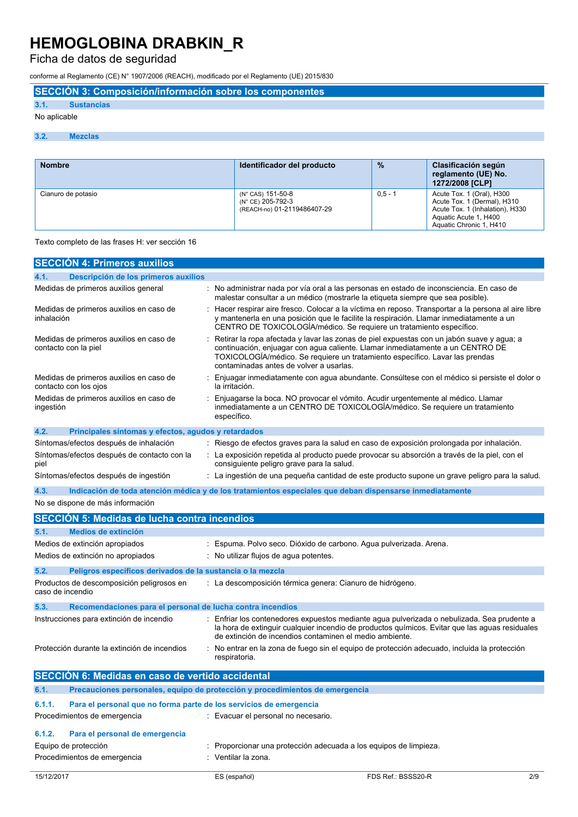Ficha de datos de seguridad

conforme al Reglamento (CE) N° 1907/2006 (REACH), modificado por el Reglamento (UE) 2015/830

**SECCIÓN 3: Composición/información sobre los componentes**

## **3.1. Sustancias**

## No aplicable

#### **3.2. Mezclas**

| <b>Nombre</b>      | Identificador del producto                                            | $\frac{9}{6}$ | Clasificación según<br>reglamento (UE) No.<br>1272/2008 [CLP]                                                                                   |
|--------------------|-----------------------------------------------------------------------|---------------|-------------------------------------------------------------------------------------------------------------------------------------------------|
| Cianuro de potasio | (N° CAS) 151-50-8<br>(N° CE) 205-792-3<br>(REACH-no) 01-2119486407-29 | $0.5 - 1$     | Acute Tox. 1 (Oral), H300<br>Acute Tox. 1 (Dermal), H310<br>Acute Tox. 1 (Inhalation), H330<br>Aquatic Acute 1, H400<br>Aquatic Chronic 1, H410 |

#### Texto completo de las frases H: ver sección 16

| <b>SECCIÓN 4: Primeros auxilios</b>                                          |                                                                                                                                                                                                                                                                                                        |
|------------------------------------------------------------------------------|--------------------------------------------------------------------------------------------------------------------------------------------------------------------------------------------------------------------------------------------------------------------------------------------------------|
| Descripción de los primeros auxilios<br>4.1.                                 |                                                                                                                                                                                                                                                                                                        |
| Medidas de primeros auxilios general                                         | : No administrar nada por vía oral a las personas en estado de inconsciencia. En caso de<br>malestar consultar a un médico (mostrarle la etiqueta siempre que sea posible).                                                                                                                            |
| Medidas de primeros auxilios en caso de<br>inhalación                        | Hacer respirar aire fresco. Colocar a la víctima en reposo. Transportar a la persona al aire libre<br>y mantenerla en una posición que le facilite la respiración. Llamar inmediatamente a un<br>CENTRO DE TOXICOLOGÍA/médico. Se requiere un tratamiento específico.                                  |
| Medidas de primeros auxilios en caso de<br>contacto con la piel              | Retirar la ropa afectada y lavar las zonas de piel expuestas con un jabón suave y agua; a<br>continuación, enjuagar con agua caliente. Llamar inmediatamente a un CENTRO DE<br>TOXICOLOGÍA/médico. Se requiere un tratamiento específico. Lavar las prendas<br>contaminadas antes de volver a usarlas. |
| Medidas de primeros auxilios en caso de<br>contacto con los ojos             | Enjuagar inmediatamente con agua abundante. Consúltese con el médico si persiste el dolor o<br>la irritación.                                                                                                                                                                                          |
| Medidas de primeros auxilios en caso de<br>ingestión                         | Enjuagarse la boca. NO provocar el vómito. Acudir urgentemente al médico. Llamar<br>inmediatamente a un CENTRO DE TOXICOLOGÍA/médico. Se requiere un tratamiento<br>específico.                                                                                                                        |
| 4.2.<br>Principales síntomas y efectos, agudos y retardados                  |                                                                                                                                                                                                                                                                                                        |
| Síntomas/efectos después de inhalación                                       | : Riesgo de efectos graves para la salud en caso de exposición prolongada por inhalación.                                                                                                                                                                                                              |
| Síntomas/efectos después de contacto con la<br>piel                          | La exposición repetida al producto puede provocar su absorción a través de la piel, con el<br>consiguiente peligro grave para la salud.                                                                                                                                                                |
| Síntomas/efectos después de ingestión                                        | : La ingestión de una pequeña cantidad de este producto supone un grave peligro para la salud.                                                                                                                                                                                                         |
| 4.3.                                                                         | Indicación de toda atención médica y de los tratamientos especiales que deban dispensarse inmediatamente                                                                                                                                                                                               |
| No se dispone de más información                                             |                                                                                                                                                                                                                                                                                                        |
| <b>SECCIÓN 5: Medidas de lucha contra incendios</b>                          |                                                                                                                                                                                                                                                                                                        |
|                                                                              |                                                                                                                                                                                                                                                                                                        |
| Medios de extinción<br>5.1.                                                  |                                                                                                                                                                                                                                                                                                        |
| Medios de extinción apropiados                                               | Espuma. Polvo seco. Dióxido de carbono. Agua pulverizada. Arena.                                                                                                                                                                                                                                       |
| Medios de extinción no apropiados                                            | : No utilizar flujos de agua potentes.                                                                                                                                                                                                                                                                 |
| 5.2.<br>Peligros específicos derivados de la sustancia o la mezcla           |                                                                                                                                                                                                                                                                                                        |
| Productos de descomposición peligrosos en<br>caso de incendio                | : La descomposición térmica genera: Cianuro de hidrógeno.                                                                                                                                                                                                                                              |
| 5.3.<br>Recomendaciones para el personal de lucha contra incendios           |                                                                                                                                                                                                                                                                                                        |
| Instrucciones para extinción de incendio                                     | Enfriar los contenedores expuestos mediante agua pulverizada o nebulizada. Sea prudente a<br>la hora de extinguir cualquier incendio de productos químicos. Evitar que las aguas residuales<br>de extinción de incendios contaminen el medio ambiente.                                                 |
| Protección durante la extinción de incendios                                 | No entrar en la zona de fuego sin el equipo de protección adecuado, incluida la protección<br>respiratoria.                                                                                                                                                                                            |
| SECCIÓN 6: Medidas en caso de vertido accidental                             |                                                                                                                                                                                                                                                                                                        |
| 6.1.                                                                         | Precauciones personales, equipo de protección y procedimientos de emergencia                                                                                                                                                                                                                           |
| 6.1.1.<br>Para el personal que no forma parte de los servicios de emergencia |                                                                                                                                                                                                                                                                                                        |
| Procedimientos de emergencia                                                 | : Evacuar el personal no necesario.                                                                                                                                                                                                                                                                    |
| Para el personal de emergencia<br>6.1.2.                                     |                                                                                                                                                                                                                                                                                                        |
| Equipo de protección                                                         | Proporcionar una protección adecuada a los equipos de limpieza.                                                                                                                                                                                                                                        |
| Procedimientos de emergencia                                                 | : Ventilar la zona.                                                                                                                                                                                                                                                                                    |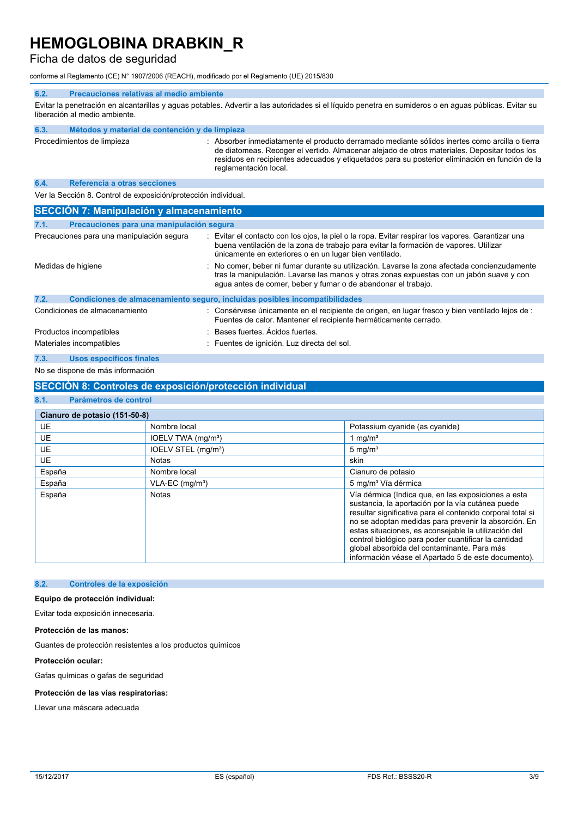### Ficha de datos de seguridad

conforme al Reglamento (CE) N° 1907/2006 (REACH), modificado por el Reglamento (UE) 2015/830

#### **6.2. Precauciones relativas al medio ambiente** Evitar la penetración en alcantarillas y aguas potables. Advertir a las autoridades si el líquido penetra en sumideros o en aguas públicas. Evitar su liberación al medio ambiente. **6.3. Métodos y material de contención y de limpieza** Procedimientos de limpieza : Absorber inmediatamente el producto derramado mediante sólidos inertes como arcilla o tierra de diatomeas. Recoger el vertido. Almacenar alejado de otros materiales. Depositar todos los residuos en recipientes adecuados y etiquetados para su posterior eliminación en función de la reglamentación local. **6.4. Referencia a otras secciones** Ver la Sección 8. Control de exposición/protección individual. **SECCIÓN 7: Manipulación y almacenamiento**

|      | <b>OLOGION</b> <i>I</i> . Manipulación y almacentalmento |                                                                                                                                                                                                                                                           |
|------|----------------------------------------------------------|-----------------------------------------------------------------------------------------------------------------------------------------------------------------------------------------------------------------------------------------------------------|
| 7.1. | Precauciones para una manipulación segura                |                                                                                                                                                                                                                                                           |
|      | Precauciones para una manipulación segura                | : Evitar el contacto con los ojos, la piel o la ropa. Evitar respirar los vapores. Garantizar una<br>buena ventilación de la zona de trabajo para evitar la formación de vapores. Utilizar<br>únicamente en exteriores o en un lugar bien ventilado.      |
|      | Medidas de higiene                                       | : No comer, beber ni fumar durante su utilización. Lavarse la zona afectada concienzudamente<br>tras la manipulación. Lavarse las manos y otras zonas expuestas con un jabón suave y con<br>agua antes de comer, beber y fumar o de abandonar el trabajo. |
| 7.2. |                                                          | Condiciones de almacenamiento seguro, incluidas posibles incompatibilidades                                                                                                                                                                               |
|      | Condiciones de almacenamiento                            | : Consérvese únicamente en el recipiente de origen, en lugar fresco y bien ventilado lejos de :<br>Fuentes de calor. Mantener el recipiente herméticamente cerrado.                                                                                       |
|      | Productos incompatibles                                  | : Bases fuertes. Acidos fuertes.                                                                                                                                                                                                                          |
|      | Materiales incompatibles                                 | Fuentes de ignición. Luz directa del sol.                                                                                                                                                                                                                 |
| $ -$ | .<br>$-$                                                 |                                                                                                                                                                                                                                                           |

#### **7.3. Usos específicos finales** No se dispone de más información

### **SECCIÓN 8: Controles de exposición/protección individual**

#### **8.1. Parámetros de control**

| Cianuro de potasio (151-50-8) |                                 |                                                                                                                                                                                                                                                                                                                                                                                                                                                      |  |  |
|-------------------------------|---------------------------------|------------------------------------------------------------------------------------------------------------------------------------------------------------------------------------------------------------------------------------------------------------------------------------------------------------------------------------------------------------------------------------------------------------------------------------------------------|--|--|
| <b>UE</b>                     | Nombre local                    | Potassium cyanide (as cyanide)                                                                                                                                                                                                                                                                                                                                                                                                                       |  |  |
| <b>UE</b>                     | IOELV TWA (mg/m <sup>3</sup> )  | 1 mg/ $m3$                                                                                                                                                                                                                                                                                                                                                                                                                                           |  |  |
| <b>UE</b>                     | IOELV STEL (mg/m <sup>3</sup> ) | $5 \text{ mg/m}^3$                                                                                                                                                                                                                                                                                                                                                                                                                                   |  |  |
| <b>UE</b>                     | <b>Notas</b>                    | skin                                                                                                                                                                                                                                                                                                                                                                                                                                                 |  |  |
| España                        | Nombre local                    | Cianuro de potasio                                                                                                                                                                                                                                                                                                                                                                                                                                   |  |  |
| España                        | $VLA-EC$ (mg/m <sup>3</sup> )   | 5 mg/m <sup>3</sup> Vía dérmica                                                                                                                                                                                                                                                                                                                                                                                                                      |  |  |
| España                        | <b>Notas</b>                    | Vía dérmica (Indica que, en las exposiciones a esta<br>sustancia, la aportación por la vía cutánea puede<br>resultar significativa para el contenido corporal total si<br>no se adoptan medidas para prevenir la absorción. En<br>estas situaciones, es aconsejable la utilización del<br>control biológico para poder cuantificar la cantidad<br>global absorbida del contaminante. Para más<br>información véase el Apartado 5 de este documento). |  |  |

#### **8.2. Controles de la exposición**

#### **Equipo de protección individual:**

Evitar toda exposición innecesaria.

#### **Protección de las manos:**

Guantes de protección resistentes a los productos químicos

#### **Protección ocular:**

Gafas químicas o gafas de seguridad

#### **Protección de las vías respiratorias:**

Llevar una máscara adecuada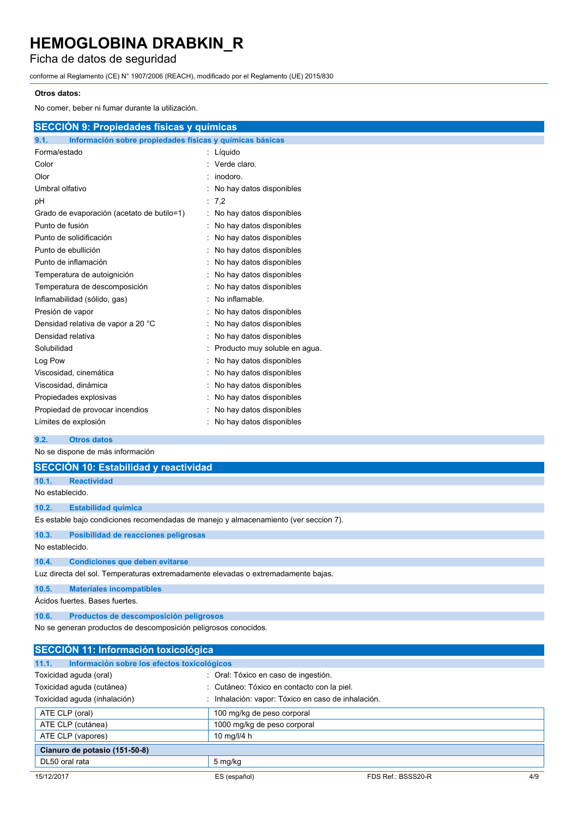## Ficha de datos de seguridad

conforme al Reglamento (CE) N° 1907/2006 (REACH), modificado por el Reglamento (UE) 2015/830

#### **Otros datos:**

No comer, beber ni fumar durante la utilización.

| <b>SECCIÓN 9: Propiedades físicas y químicas</b>                 |                            |
|------------------------------------------------------------------|----------------------------|
| Información sobre propiedades físicas y químicas básicas<br>9.1. |                            |
| Forma/estado                                                     | : Líquido                  |
| Color                                                            | : Verde claro.             |
| Olor                                                             | $:$ inodoro.               |
| Umbral olfativo                                                  | : No hay datos disponibles |
| рH                                                               | $\therefore$ 7.2           |
| Grado de evaporación (acetato de butilo=1)                       | : No hay datos disponibles |
| Punto de fusión                                                  | : No hay datos disponibles |
| Punto de solidificación                                          | : No hay datos disponibles |
| Punto de ebullición                                              | : No hay datos disponibles |
| Punto de inflamación                                             | : No hay datos disponibles |
| Tamnaratura da autoionición                                      |                            |

| Temperatura de autoignición        | : No hay datos disponibles      |
|------------------------------------|---------------------------------|
| Temperatura de descomposición      | : No hay datos disponibles      |
| Inflamabilidad (sólido, gas)       | $:$ No inflamable.              |
| Presión de vapor                   | : No hay datos disponibles      |
| Densidad relativa de vapor a 20 °C | : No hay datos disponibles      |
| Densidad relativa                  | : No hay datos disponibles      |
| Solubilidad                        | : Producto muy soluble en agua. |
| Log Pow                            | : No hay datos disponibles      |
| Viscosidad, cinemática             | : No hay datos disponibles      |
| Viscosidad, dinámica               | : No hay datos disponibles      |
| Propiedades explosivas             | : No hay datos disponibles      |
| Propiedad de provocar incendios    | : No hay datos disponibles      |
| Límites de explosión               | : No hay datos disponibles      |

#### **9.2. Otros datos**

No se dispone de más información

|                 | <b>SECCIÓN 10: Estabilidad y reactividad</b>                                         |
|-----------------|--------------------------------------------------------------------------------------|
| 10.1.           | <b>Reactividad</b>                                                                   |
| No establecido. |                                                                                      |
| 10.2.           | <b>Estabilidad química</b>                                                           |
|                 | Es estable bajo condiciones recomendadas de manejo y almacenamiento (ver seccion 7). |
| 10.3.           | Posibilidad de reacciones peligrosas                                                 |
| No establecido. |                                                                                      |
| 10.4.           | <b>Condiciones que deben evitarse</b>                                                |
|                 | Luz directa del sol. Temperaturas extremadamente elevadas o extremadamente bajas.    |
| 10.5.           | <b>Materiales incompatibles</b>                                                      |
|                 | Ácidos fuertes. Bases fuertes.                                                       |
| 10.6.           | Productos de descomposición peligrosos                                               |
|                 | No se generan productos de descomposición peligrosos conocidos.                      |

| <b>SECCIÓN 11: Información toxicológica</b>          |                                                    |                    |     |
|------------------------------------------------------|----------------------------------------------------|--------------------|-----|
| Información sobre los efectos toxicológicos<br>11.1. |                                                    |                    |     |
| Toxicidad aguda (oral)                               | : Oral: Tóxico en caso de ingestión.               |                    |     |
| Toxicidad aguda (cutánea)                            | : Cutáneo: Tóxico en contacto con la piel.         |                    |     |
| Toxicidad aguda (inhalación)                         | : Inhalación: vapor: Tóxico en caso de inhalación. |                    |     |
| ATE CLP (oral)                                       | 100 mg/kg de peso corporal                         |                    |     |
| ATE CLP (cutánea)                                    | 1000 mg/kg de peso corporal                        |                    |     |
| ATE CLP (vapores)                                    | 10 mg/l/4 h                                        |                    |     |
| Cianuro de potasio (151-50-8)                        |                                                    |                    |     |
| DL50 oral rata                                       | 5 mg/kg                                            |                    |     |
| 15/12/2017                                           | ES (español)                                       | FDS Ref.: BSSS20-R | 4/9 |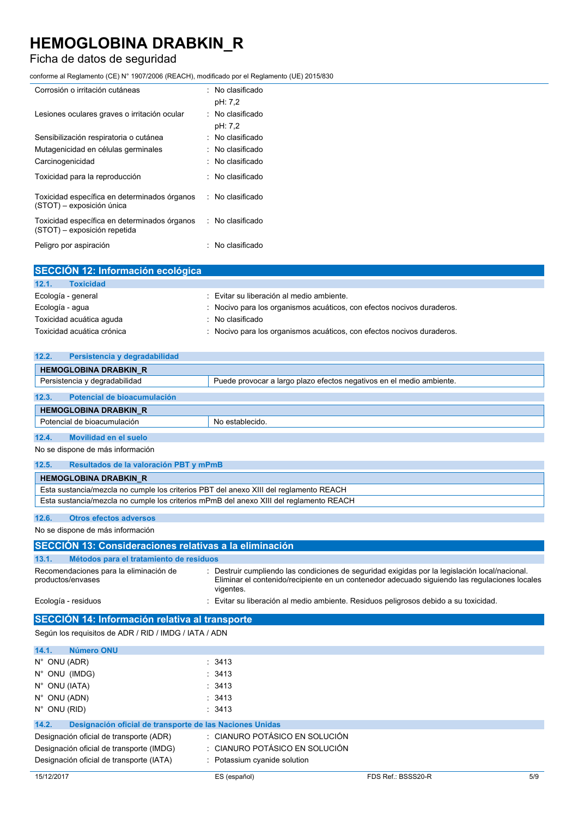## Ficha de datos de seguridad

conforme al Reglamento (CE) N° 1907/2006 (REACH), modificado por el Reglamento (UE) 2015/830

| Corrosión o irritación cutáneas                                              | $:$ No clasificado<br>pH: 7,2          |
|------------------------------------------------------------------------------|----------------------------------------|
| Lesiones oculares graves o irritación ocular                                 | $\therefore$ No clasificado<br>pH: 7,2 |
| Sensibilización respiratoria o cutánea                                       | $:$ No clasificado                     |
| Mutagenicidad en células germinales                                          | $\therefore$ No clasificado            |
| Carcinogenicidad                                                             | : No clasificado                       |
| Toxicidad para la reproducción                                               | $\therefore$ No clasificado            |
| Toxicidad específica en determinados órganos<br>(STOT) - exposición única    | : No clasificado                       |
| Toxicidad específica en determinados órganos<br>(STOT) - exposición repetida | : No clasificado                       |
| Peligro por aspiración                                                       | : No clasificado                       |

| SECCIÓN 12: Información ecológica |                                                                        |
|-----------------------------------|------------------------------------------------------------------------|
| 12.1.<br><b>Toxicidad</b>         |                                                                        |
| Ecología - general                | : Evitar su liberación al medio ambiente.                              |
| Ecología - agua                   | : Nocivo para los organismos acuáticos, con efectos nocivos duraderos. |
| Toxicidad acuática aguda          | $\therefore$ No clasificado                                            |
| Toxicidad acuática crónica        | : Nocivo para los organismos acuáticos, con efectos nocivos duraderos. |

| 12.2.<br>Persistencia y degradabilidad |                                                                      |
|----------------------------------------|----------------------------------------------------------------------|
| <b>HEMOGLOBINA DRABKIN R</b>           |                                                                      |
| Persistencia y degradabilidad          | Puede provocar a largo plazo efectos negativos en el medio ambiente. |
|                                        |                                                                      |
| 12.3.<br>Potencial de bioacumulación   |                                                                      |
| <b>HEMOGLOBINA DRABKIN R</b>           |                                                                      |
| Potencial de bioacumulación            | No establecido.                                                      |

**12.4. Movilidad en el suelo**

No se dispone de más información

| 12.5. | Resultados de la valoración PBT y mPmB                                                 |
|-------|----------------------------------------------------------------------------------------|
|       | <b>HEMOGLOBINA DRABKIN R</b>                                                           |
|       | Esta sustancia/mezcla no cumple los criterios PBT del anexo XIII del reglamento REACH  |
|       | Esta sustancia/mezcla no cumple los criterios mPmB del anexo XIII del reglamento REACH |

#### **12.6. Otros efectos adversos**

No se dispone de más información

| SECCIÓN 13: Consideraciones relativas a la eliminación      |                                                                                                                                                                                                            |  |  |
|-------------------------------------------------------------|------------------------------------------------------------------------------------------------------------------------------------------------------------------------------------------------------------|--|--|
| 13.1.                                                       | Métodos para el tratamiento de residuos                                                                                                                                                                    |  |  |
| Recomendaciones para la eliminación de<br>productos/envases | Destruir cumpliendo las condiciones de seguridad exigidas por la legislación local/nacional.<br>Eliminar el contenido/recipiente en un contenedor adecuado siguiendo las regulaciones locales<br>vigentes. |  |  |
| Ecología - residuos                                         | Evitar su liberación al medio ambiente. Residuos peligrosos debido a su toxicidad.                                                                                                                         |  |  |
| SECCIÓN 14: Información relativa al transporte              |                                                                                                                                                                                                            |  |  |
| Cogún los requisitos de ADD (DID (IMDC (IATA (ADN)          |                                                                                                                                                                                                            |  |  |

Según los requisitos de ADR / RID / IMDG / IATA / ADN

| Número ONU<br>14.1.                                               |                                |
|-------------------------------------------------------------------|--------------------------------|
| $N^{\circ}$ ONU (ADR)                                             | : 3413                         |
| N° ONU (IMDG)                                                     | : 3413                         |
| $N^{\circ}$ ONU (IATA)                                            | : 3413                         |
| $N^{\circ}$ ONU (ADN)                                             | : 3413                         |
| $N^{\circ}$ ONU (RID)                                             | : 3413                         |
| 14.2.<br>Designación oficial de transporte de las Naciones Unidas |                                |
| Designación oficial de transporte (ADR)                           | : CIANURO POTÁSICO EN SOLUCIÓN |
| Designación oficial de transporte (IMDG)                          | : CIANURO POTÁSICO EN SOLUCIÓN |
| Designación oficial de transporte (IATA)                          | : Potassium cyanide solution   |
|                                                                   |                                |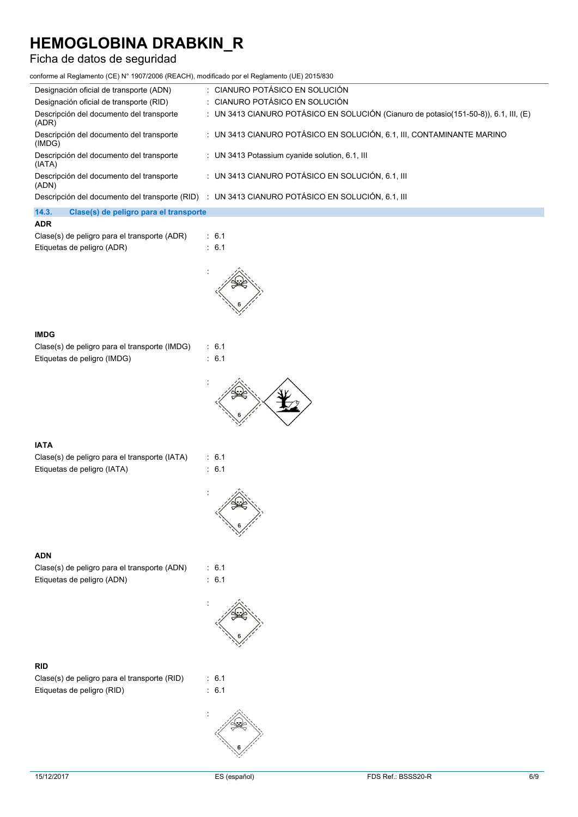## Ficha de datos de seguridad

conforme al Reglamento (CE) N° 1907/2006 (REACH), modificado por el Reglamento (UE) 2015/830

| Designación oficial de transporte (ADN)            | : CIANURO POTÁSICO EN SOLUCIÓN                                                                  |
|----------------------------------------------------|-------------------------------------------------------------------------------------------------|
| Designación oficial de transporte (RID)            | : CIANURO POTÁSICO EN SOLUCIÓN                                                                  |
| Descripción del documento del transporte<br>(ADR)  | : UN 3413 CIANURO POTÁSICO EN SOLUCIÓN (Cianuro de potasio(151-50-8)), 6.1, III, (E)            |
| Descripción del documento del transporte<br>(IMDG) | : UN 3413 CIANURO POTÁSICO EN SOLUCIÓN, 6.1, III, CONTAMINANTE MARINO                           |
| Descripción del documento del transporte<br>(IATA) | : UN 3413 Potassium cyanide solution, 6.1, III                                                  |
| Descripción del documento del transporte<br>(ADN)  | : UN 3413 CIANURO POTÁSICO EN SOLUCIÓN, 6.1, III                                                |
|                                                    | Descripción del documento del transporte (RID) : UN 3413 CIANURO POTÁSICO EN SOLUCIÓN, 6.1, III |
| 14.3.<br>Clase(s) de peligro para el transporte    |                                                                                                 |

#### **ADR**

| Clase(s) de peligro para el transporte (ADR) | : 6.1 |
|----------------------------------------------|-------|
| Etiquetas de peligro (ADR)                   | : 6.1 |



#### **IMDG**

Clase(s) de peligro para el transporte (IMDG) : 6.1 Etiquetas de peligro (IMDG) : 6.1





#### **IATA**

Clase(s) de peligro para el transporte (IATA) : 6.1 Etiquetas de peligro (IATA) : 6.1





#### **ADN**

Clase(s) de peligro para el transporte (ADN) : 6.1 Etiquetas de peligro (ADN) : 6.1

### **RID**

Clase(s) de peligro para el transporte (RID) : 6.1 Etiquetas de peligro (RID)  $\qquad \qquad$  : 6.1



: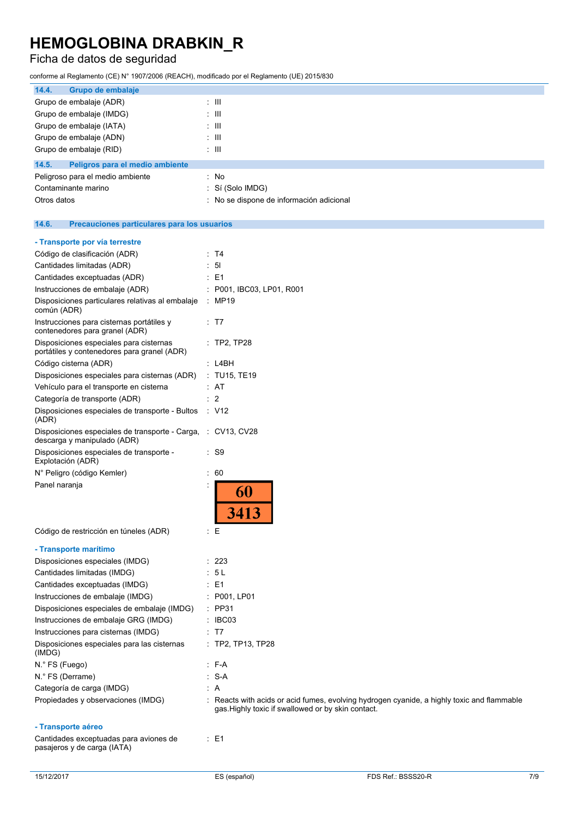## Ficha de datos de seguridad

conforme al Reglamento (CE) N° 1907/2006 (REACH), modificado por el Reglamento (UE) 2015/830

| 14.4.<br>Grupo de embalaje                                                                  |                                                                                                                                                  |
|---------------------------------------------------------------------------------------------|--------------------------------------------------------------------------------------------------------------------------------------------------|
| Grupo de embalaje (ADR)                                                                     | : III                                                                                                                                            |
| Grupo de embalaje (IMDG)                                                                    | $\pm$ 111                                                                                                                                        |
| Grupo de embalaje (IATA)                                                                    | : III                                                                                                                                            |
| Grupo de embalaje (ADN)                                                                     | : III                                                                                                                                            |
| Grupo de embalaje (RID)                                                                     | : III                                                                                                                                            |
| 14.5.<br>Peligros para el medio ambiente                                                    |                                                                                                                                                  |
| Peligroso para el medio ambiente                                                            | : No                                                                                                                                             |
| Contaminante marino                                                                         | : Sí (Solo IMDG)                                                                                                                                 |
| Otros datos                                                                                 | : No se dispone de información adicional                                                                                                         |
| 14.6.<br>Precauciones particulares para los usuarios                                        |                                                                                                                                                  |
| - Transporte por vía terrestre                                                              |                                                                                                                                                  |
| Código de clasificación (ADR)                                                               | : T4                                                                                                                                             |
| Cantidades limitadas (ADR)                                                                  | $\therefore$ 51                                                                                                                                  |
| Cantidades exceptuadas (ADR)                                                                | : E1                                                                                                                                             |
| Instrucciones de embalaje (ADR)                                                             | : P001, IBC03, LP01, R001                                                                                                                        |
| Disposiciones particulares relativas al embalaje<br>común (ADR)                             | : MP19                                                                                                                                           |
| Instrucciones para cisternas portátiles y<br>contenedores para granel (ADR)                 | ∶ T7                                                                                                                                             |
| Disposiciones especiales para cisternas<br>portátiles y contenedores para granel (ADR)      | $:$ TP2, TP28                                                                                                                                    |
| Código cisterna (ADR)                                                                       | : L4BH                                                                                                                                           |
| Disposiciones especiales para cisternas (ADR)                                               | : TU15, TE19                                                                                                                                     |
| Vehículo para el transporte en cisterna                                                     | : AT                                                                                                                                             |
| Categoría de transporte (ADR)                                                               | : 2                                                                                                                                              |
| Disposiciones especiales de transporte - Bultos<br>(ADR)                                    | $\therefore$ V12                                                                                                                                 |
| Disposiciones especiales de transporte - Carga, : CV13, CV28<br>descarga y manipulado (ADR) |                                                                                                                                                  |
| Disposiciones especiales de transporte -<br>Explotación (ADR)                               | : S9                                                                                                                                             |
| N° Peligro (código Kemler)                                                                  | 60                                                                                                                                               |
| Panel naranja                                                                               | 60<br>3413                                                                                                                                       |
| Código de restricción en túneles (ADR)                                                      | $E_{\rm E}$                                                                                                                                      |
| - Transporte marítimo                                                                       |                                                                                                                                                  |
| Disposiciones especiales (IMDG)                                                             | : 223                                                                                                                                            |
| Cantidades limitadas (IMDG)                                                                 | : 5 L                                                                                                                                            |
| Cantidades exceptuadas (IMDG)                                                               | : E1                                                                                                                                             |
| Instrucciones de embalaje (IMDG)                                                            | : P001, LP01                                                                                                                                     |
| Disposiciones especiales de embalaje (IMDG)                                                 | $:$ PP31                                                                                                                                         |
| Instrucciones de embalaje GRG (IMDG)                                                        | $\therefore$ IBC03                                                                                                                               |
| Instrucciones para cisternas (IMDG)                                                         | : T7                                                                                                                                             |
| Disposiciones especiales para las cisternas<br>(IMDG)                                       | : TP2, TP13, TP28                                                                                                                                |
| N.º FS (Fuego)                                                                              | : F-A                                                                                                                                            |
| N.º FS (Derrame)                                                                            | : S-A                                                                                                                                            |
| Categoría de carga (IMDG)                                                                   | : A                                                                                                                                              |
| Propiedades y observaciones (IMDG)                                                          | : Reacts with acids or acid fumes, evolving hydrogen cyanide, a highly toxic and flammable<br>gas. Highly toxic if swallowed or by skin contact. |
| - Transporte aéreo                                                                          |                                                                                                                                                  |
| Cantidades exceptuadas para aviones de<br>pasajeros y de carga (IATA)                       | : E1                                                                                                                                             |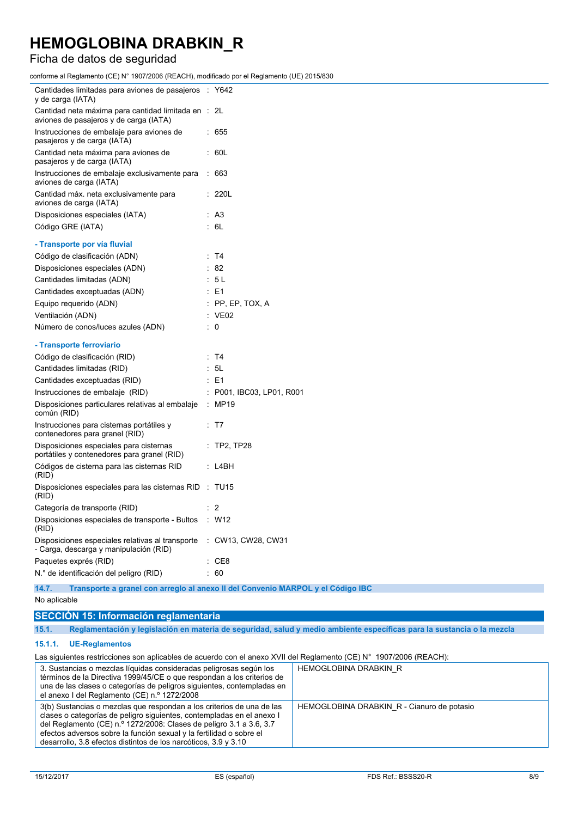## Ficha de datos de seguridad

conforme al Reglamento (CE) N° 1907/2006 (REACH), modificado por el Reglamento (UE) 2015/830

| Cantidades limitadas para aviones de pasajeros : Y642<br>y de carga (IATA)                                    |                                                                                 |
|---------------------------------------------------------------------------------------------------------------|---------------------------------------------------------------------------------|
| Cantidad neta máxima para cantidad limitada en : 2L<br>aviones de pasajeros y de carga (IATA)                 |                                                                                 |
| Instrucciones de embalaje para aviones de<br>pasajeros y de carga (IATA)                                      | : 655                                                                           |
| Cantidad neta máxima para aviones de<br>pasajeros y de carga (IATA)                                           | : 60L                                                                           |
| Instrucciones de embalaje exclusivamente para : 663<br>aviones de carga (IATA)                                |                                                                                 |
| Cantidad máx. neta exclusivamente para<br>aviones de carga (IATA)                                             | : 220L                                                                          |
| Disposiciones especiales (IATA)                                                                               | : A3                                                                            |
| Código GRE (IATA)                                                                                             | : 6L                                                                            |
| - Transporte por vía fluvial                                                                                  |                                                                                 |
| Código de clasificación (ADN)                                                                                 | : T4                                                                            |
| Disposiciones especiales (ADN)                                                                                | $\therefore$ 82                                                                 |
| Cantidades limitadas (ADN)                                                                                    | : 5L                                                                            |
| Cantidades exceptuadas (ADN)                                                                                  | $\therefore$ E1                                                                 |
| Equipo requerido (ADN)                                                                                        | $:$ PP, EP, TOX, A                                                              |
| Ventilación (ADN)                                                                                             | $\therefore$ VE02                                                               |
| Número de conos/luces azules (ADN)                                                                            | $\therefore$ 0                                                                  |
| - Transporte ferroviario                                                                                      |                                                                                 |
| Código de clasificación (RID)                                                                                 | : T4                                                                            |
| Cantidades limitadas (RID)                                                                                    | : 5L                                                                            |
| Cantidades exceptuadas (RID)                                                                                  | $\therefore$ E1                                                                 |
| Instrucciones de embalaje (RID)                                                                               | $:$ P001, IBC03, LP01, R001                                                     |
| Disposiciones particulares relativas al embalaje<br>común (RID)                                               | : MP19                                                                          |
| Instrucciones para cisternas portátiles y<br>contenedores para granel (RID)                                   | : T7                                                                            |
| Disposiciones especiales para cisternas<br>portátiles y contenedores para granel (RID)                        | $:$ TP2, TP28                                                                   |
| Códigos de cisterna para las cisternas RID<br>(RID)                                                           | : L4BH                                                                          |
| Disposiciones especiales para las cisternas RID : TU15<br>(RID)                                               |                                                                                 |
| Categoría de transporte (RID)                                                                                 | $\therefore$ 2                                                                  |
| Disposiciones especiales de transporte - Bultos : W12<br>(RID)                                                |                                                                                 |
| Disposiciones especiales relativas al transporte : CW13, CW28, CW31<br>- Carga, descarga y manipulación (RID) |                                                                                 |
| Paquetes exprés (RID)                                                                                         | : CE8                                                                           |
| N.º de identificación del peligro (RID)                                                                       | : 60                                                                            |
| 14.7.                                                                                                         | Transporte a granel con arregio al anexo II del Convenio MARPOL y el Código IBC |

No aplicable

### **SECCIÓN 15: Información reglamentaria**

15.1. Reglamentación y legislación en materia de seguridad, salud y medio ambiente específicas para la sustancia o la mezcla

#### **15.1.1. UE-Reglamentos**

Las siguientes restricciones son aplicables de acuerdo con el anexo XVII del Reglamento (CE) N° 1907/2006 (REACH):

| 3. Sustancias o mezclas líquidas consideradas peligrosas según los<br>términos de la Directiva 1999/45/CE o que respondan a los criterios de<br>una de las clases o categorías de peligros siguientes, contempladas en<br>el anexo I del Reglamento (CE) n.º 1272/2008                                                                                          | HEMOGLOBINA DRABKIN R                      |
|-----------------------------------------------------------------------------------------------------------------------------------------------------------------------------------------------------------------------------------------------------------------------------------------------------------------------------------------------------------------|--------------------------------------------|
| 3(b) Sustancias o mezclas que respondan a los criterios de una de las<br>clases o categorías de peligro siguientes, contempladas en el anexo I<br>del Reglamento (CE) n.º 1272/2008: Clases de peligro 3.1 a 3.6, 3.7<br>efectos adversos sobre la función sexual y la fertilidad o sobre el<br>desarrollo, 3.8 efectos distintos de los narcóticos, 3.9 y 3.10 | HEMOGLOBINA DRABKIN R - Cianuro de potasio |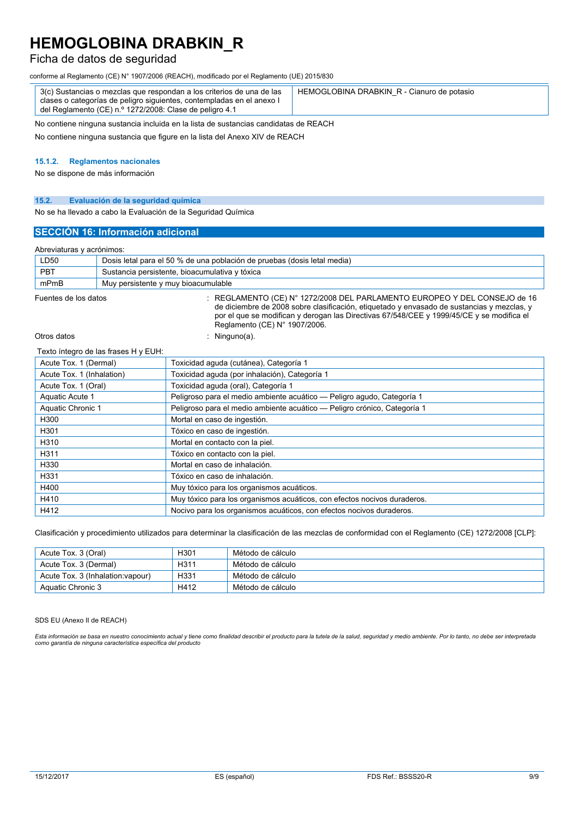### Ficha de datos de seguridad

conforme al Reglamento (CE) N° 1907/2006 (REACH), modificado por el Reglamento (UE) 2015/830

No contiene ninguna sustancia incluida en la lista de sustancias candidatas de REACH

No contiene ninguna sustancia que figure en la lista del Anexo XIV de REACH

### **15.1.2. Reglamentos nacionales**

No se dispone de más información

#### **15.2. Evaluación de la seguridad química**

No se ha llevado a cabo la Evaluación de la Seguridad Química

#### **SECCIÓN 16: Información adicional**

#### Abreviaturas y acrónimos:

| ADIEVIAIUTAS V ACTORITIOS. |                                                                                                                                                                             |  |
|----------------------------|-----------------------------------------------------------------------------------------------------------------------------------------------------------------------------|--|
| LD50                       | Dosis letal para el 50 % de una población de pruebas (dosis letal media)                                                                                                    |  |
| <b>PBT</b>                 | Sustancia persistente, bioacumulativa y tóxica                                                                                                                              |  |
| mPmB                       | Muy persistente y muy bioacumulable                                                                                                                                         |  |
| Fuentes de los datos       | $\pm$ REGLAMENTO (CE) N° 1272/2008 DEL PARLAMENTO EUROPEO Y DEL CONSEJO de 16<br>de diciembre de 2008 sobre clasificación, etiquetado y envasado de sustancias y mezclas, y |  |

de diciembre de 2008 sobre clasificación, etiquetado y envasado de sustancias y mezclas, y por el que se modifican y derogan las Directivas 67/548/CEE y 1999/45/CE y se modifica el Reglamento (CE) N° 1907/2006.

Otros datos : Ninguno(a).

#### Texto íntegro de las frases H y EUH:

| Acute Tox. 1 (Dermal)     | Toxicidad aguda (cutánea), Categoría 1                                   |
|---------------------------|--------------------------------------------------------------------------|
| Acute Tox. 1 (Inhalation) | Toxicidad aguda (por inhalación), Categoría 1                            |
| Acute Tox. 1 (Oral)       | Toxicidad aguda (oral), Categoría 1                                      |
| Aquatic Acute 1           | Peligroso para el medio ambiente acuático - Peligro agudo, Categoría 1   |
| Aquatic Chronic 1         | Peligroso para el medio ambiente acuático - Peligro crónico, Categoría 1 |
| H300                      | Mortal en caso de ingestión.                                             |
| H301                      | Tóxico en caso de ingestión.                                             |
| H310                      | Mortal en contacto con la piel.                                          |
| H311                      | Tóxico en contacto con la piel.                                          |
| H330                      | Mortal en caso de inhalación.                                            |
| H331                      | Tóxico en caso de inhalación.                                            |
| H400                      | Muy tóxico para los organismos acuáticos.                                |
| H410                      | Muy tóxico para los organismos acuáticos, con efectos nocivos duraderos. |
| H412                      | Nocivo para los organismos acuáticos, con efectos nocivos duraderos.     |

Clasificación y procedimiento utilizados para determinar la clasificación de las mezclas de conformidad con el Reglamento (CE) 1272/2008 [CLP]:

| Acute Tox. 3 (Oral)               | H301              | Método de cálculo |
|-----------------------------------|-------------------|-------------------|
| Acute Tox. 3 (Dermal)             | H <sub>3</sub> 11 | Método de cálculo |
| Acute Tox. 3 (Inhalation: vapour) | H331              | Método de cálculo |
| Aquatic Chronic 3                 | H412              | Método de cálculo |

#### SDS EU (Anexo II de REACH)

Esta información se basa en nuestro conocimiento actual y tiene como finalidad describir el producto para la tutela de la salud, seguridad y medio ambiente. Por lo tanto, no debe ser interpretada<br>como garantía de ninguna c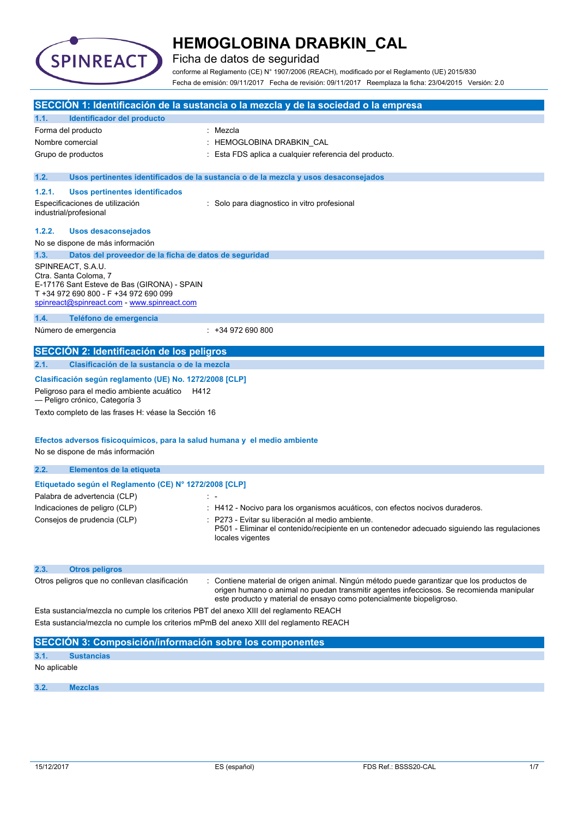

Ficha de datos de seguridad

conforme al Reglamento (CE) N° 1907/2006 (REACH), modificado por el Reglamento (UE) 2015/830 Fecha de emisión: 09/11/2017 Fecha de revisión: 09/11/2017 Reemplaza la ficha: 23/04/2015 Versión: 2.0

|        |                                                                                                                                                                                   | SECCIÓN 1: Identificación de la sustancia o la mezcla y de la sociedad o la empresa                                                                                                                                                                         |
|--------|-----------------------------------------------------------------------------------------------------------------------------------------------------------------------------------|-------------------------------------------------------------------------------------------------------------------------------------------------------------------------------------------------------------------------------------------------------------|
| 1.1.   | Identificador del producto                                                                                                                                                        |                                                                                                                                                                                                                                                             |
|        | Forma del producto                                                                                                                                                                | : Mezcla                                                                                                                                                                                                                                                    |
|        | Nombre comercial                                                                                                                                                                  | : HEMOGLOBINA DRABKIN_CAL                                                                                                                                                                                                                                   |
|        | Grupo de productos                                                                                                                                                                | : Esta FDS aplica a cualquier referencia del producto.                                                                                                                                                                                                      |
| 1.2.   |                                                                                                                                                                                   | Usos pertinentes identificados de la sustancia o de la mezcla y usos desaconsejados                                                                                                                                                                         |
| 1.2.1. | <b>Usos pertinentes identificados</b>                                                                                                                                             |                                                                                                                                                                                                                                                             |
|        | Especificaciones de utilización<br>industrial/profesional                                                                                                                         | : Solo para diagnostico in vitro profesional                                                                                                                                                                                                                |
| 1.2.2. | <b>Usos desaconsejados</b>                                                                                                                                                        |                                                                                                                                                                                                                                                             |
|        | No se dispone de más información                                                                                                                                                  |                                                                                                                                                                                                                                                             |
| 1.3.   | Datos del proveedor de la ficha de datos de seguridad                                                                                                                             |                                                                                                                                                                                                                                                             |
|        | SPINREACT, S.A.U.<br>Ctra. Santa Coloma, 7<br>E-17176 Sant Esteve de Bas (GIRONA) - SPAIN<br>T +34 972 690 800 - F +34 972 690 099<br>spinreact@spinreact.com - www.spinreact.com |                                                                                                                                                                                                                                                             |
| 1.4.   | Teléfono de emergencia                                                                                                                                                            |                                                                                                                                                                                                                                                             |
|        | Número de emergencia                                                                                                                                                              | $: +34972690800$                                                                                                                                                                                                                                            |
|        | SECCIÓN 2: Identificación de los peligros                                                                                                                                         |                                                                                                                                                                                                                                                             |
| 2.1.   | Clasificación de la sustancia o de la mezcla                                                                                                                                      |                                                                                                                                                                                                                                                             |
|        | Clasificación según reglamento (UE) No. 1272/2008 [CLP]                                                                                                                           |                                                                                                                                                                                                                                                             |
|        | Peligroso para el medio ambiente acuático<br>H412<br>- Peligro crónico, Categoría 3                                                                                               |                                                                                                                                                                                                                                                             |
|        | Texto completo de las frases H: véase la Sección 16                                                                                                                               |                                                                                                                                                                                                                                                             |
|        | Efectos adversos fisicoquímicos, para la salud humana y el medio ambiente<br>No se dispone de más información                                                                     |                                                                                                                                                                                                                                                             |
| 2.2.   | Elementos de la etiqueta                                                                                                                                                          |                                                                                                                                                                                                                                                             |
|        | Etiquetado según el Reglamento (CE) Nº 1272/2008 [CLP]                                                                                                                            |                                                                                                                                                                                                                                                             |
|        | Palabra de advertencia (CLP)                                                                                                                                                      |                                                                                                                                                                                                                                                             |
|        | Indicaciones de peligro (CLP)                                                                                                                                                     | : H412 - Nocivo para los organismos acuáticos, con efectos nocivos duraderos.                                                                                                                                                                               |
|        | Consejos de prudencia (CLP)                                                                                                                                                       | : P273 - Evitar su liberación al medio ambiente.<br>P501 - Eliminar el contenido/recipiente en un contenedor adecuado siguiendo las regulaciones<br>locales vigentes                                                                                        |
| 2.3.   | <b>Otros peligros</b>                                                                                                                                                             |                                                                                                                                                                                                                                                             |
|        | Otros peligros que no conllevan clasificación                                                                                                                                     | Contiene material de origen animal. Ningún método puede garantizar que los productos de<br>origen humano o animal no puedan transmitir agentes infecciosos. Se recomienda manipular<br>este producto y material de ensayo como potencialmente biopeligroso. |
|        | Esta sustancia/mezcla no cumple los criterios PBT del anexo XIII del reglamento REACH                                                                                             | Esta sustancia/mezcla no cumple los criterios mPmB del anexo XIII del reglamento REACH                                                                                                                                                                      |
|        | <b>SECCIÓN 3: Composición/información sobre los componentes</b>                                                                                                                   |                                                                                                                                                                                                                                                             |
|        |                                                                                                                                                                                   |                                                                                                                                                                                                                                                             |
| 3.1.   | <b>Sustancias</b>                                                                                                                                                                 |                                                                                                                                                                                                                                                             |

No aplicable

**3.2. Mezclas**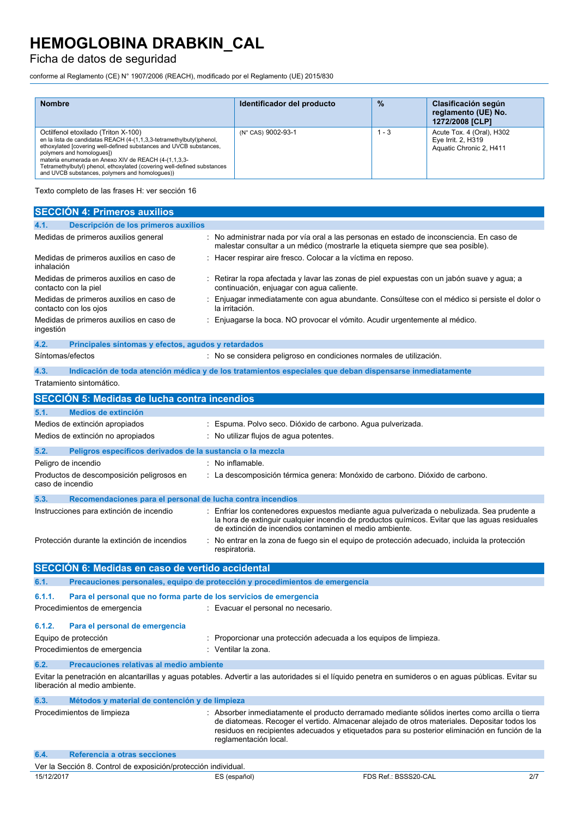## Ficha de datos de seguridad

conforme al Reglamento (CE) N° 1907/2006 (REACH), modificado por el Reglamento (UE) 2015/830

| <b>Nombre</b>                                                                                                                                                                                                                                                                                                                                                                                       | Identificador del producto | $\frac{9}{6}$ | Clasificación según<br>reglamento (UE) No.<br>1272/2008 [CLP]              |
|-----------------------------------------------------------------------------------------------------------------------------------------------------------------------------------------------------------------------------------------------------------------------------------------------------------------------------------------------------------------------------------------------------|----------------------------|---------------|----------------------------------------------------------------------------|
| Octilfenol etoxilado (Triton X-100)<br>en la lista de candidatas REACH (4-(1,1,3,3-tetramethylbutyl)phenol,<br>ethoxylated [covering well-defined substances and UVCB substances,<br>polymers and homologues])<br>materia enumerada en Anexo XIV de REACH (4-(1,1,3,3-<br>Tetramethylbutyl) phenol, ethoxylated (covering well-defined substances<br>and UVCB substances, polymers and homologues)) | (N° CAS) 9002-93-1         | - 3           | Acute Tox. 4 (Oral), H302<br>Eye Irrit. 2, H319<br>Aquatic Chronic 2, H411 |

Texto completo de las frases H: ver sección 16

| <b>SECCIÓN 4: Primeros auxilios</b>                                          |                                                                                                          |                                                                                                                                                                                                                                                                                                  |     |
|------------------------------------------------------------------------------|----------------------------------------------------------------------------------------------------------|--------------------------------------------------------------------------------------------------------------------------------------------------------------------------------------------------------------------------------------------------------------------------------------------------|-----|
| Descripción de los primeros auxilios<br>4.1.                                 |                                                                                                          |                                                                                                                                                                                                                                                                                                  |     |
| Medidas de primeros auxilios general                                         | malestar consultar a un médico (mostrarle la etiqueta siempre que sea posible).                          | : No administrar nada por vía oral a las personas en estado de inconsciencia. En caso de                                                                                                                                                                                                         |     |
| Medidas de primeros auxilios en caso de<br>inhalación                        | : Hacer respirar aire fresco. Colocar a la víctima en reposo.                                            |                                                                                                                                                                                                                                                                                                  |     |
| Medidas de primeros auxilios en caso de<br>contacto con la piel              | continuación, enjuagar con agua caliente.                                                                | : Retirar la ropa afectada y lavar las zonas de piel expuestas con un jabón suave y agua; a                                                                                                                                                                                                      |     |
| Medidas de primeros auxilios en caso de<br>contacto con los ojos             | la irritación.                                                                                           | : Enjuagar inmediatamente con agua abundante. Consúltese con el médico si persiste el dolor o                                                                                                                                                                                                    |     |
| Medidas de primeros auxilios en caso de<br>ingestión                         | : Enjuagarse la boca. NO provocar el vómito. Acudir urgentemente al médico.                              |                                                                                                                                                                                                                                                                                                  |     |
| 4.2.<br>Principales síntomas y efectos, agudos y retardados                  |                                                                                                          |                                                                                                                                                                                                                                                                                                  |     |
| Síntomas/efectos                                                             | : No se considera peligroso en condiciones normales de utilización.                                      |                                                                                                                                                                                                                                                                                                  |     |
| 4.3.                                                                         | Indicación de toda atención médica y de los tratamientos especiales que deban dispensarse inmediatamente |                                                                                                                                                                                                                                                                                                  |     |
| Tratamiento sintomático.                                                     |                                                                                                          |                                                                                                                                                                                                                                                                                                  |     |
| <b>SECCIÓN 5: Medidas de lucha contra incendios</b>                          |                                                                                                          |                                                                                                                                                                                                                                                                                                  |     |
|                                                                              |                                                                                                          |                                                                                                                                                                                                                                                                                                  |     |
| Medios de extinción<br>5.1.                                                  |                                                                                                          |                                                                                                                                                                                                                                                                                                  |     |
| Medios de extinción apropiados<br>Medios de extinción no apropiados          | : Espuma. Polvo seco. Dióxido de carbono. Agua pulverizada.<br>: No utilizar flujos de agua potentes.    |                                                                                                                                                                                                                                                                                                  |     |
|                                                                              |                                                                                                          |                                                                                                                                                                                                                                                                                                  |     |
| 5.2.<br>Peligros específicos derivados de la sustancia o la mezcla           |                                                                                                          |                                                                                                                                                                                                                                                                                                  |     |
| Peligro de incendio                                                          | No inflamable.                                                                                           |                                                                                                                                                                                                                                                                                                  |     |
| Productos de descomposición peligrosos en<br>caso de incendio                | : La descomposición térmica genera: Monóxido de carbono. Dióxido de carbono.                             |                                                                                                                                                                                                                                                                                                  |     |
| 5.3.<br>Recomendaciones para el personal de lucha contra incendios           |                                                                                                          |                                                                                                                                                                                                                                                                                                  |     |
| Instrucciones para extinción de incendio                                     | de extinción de incendios contaminen el medio ambiente.                                                  | : Enfriar los contenedores expuestos mediante agua pulverizada o nebulizada. Sea prudente a<br>la hora de extinguir cualquier incendio de productos químicos. Evitar que las aguas residuales                                                                                                    |     |
| Protección durante la extinción de incendios                                 | respiratoria.                                                                                            | : No entrar en la zona de fuego sin el equipo de protección adecuado, incluida la protección                                                                                                                                                                                                     |     |
| SECCIÓN 6: Medidas en caso de vertido accidental                             |                                                                                                          |                                                                                                                                                                                                                                                                                                  |     |
| 6.1.                                                                         | Precauciones personales, equipo de protección y procedimientos de emergencia                             |                                                                                                                                                                                                                                                                                                  |     |
| 6.1.1.<br>Para el personal que no forma parte de los servicios de emergencia |                                                                                                          |                                                                                                                                                                                                                                                                                                  |     |
| Procedimientos de emergencia                                                 | : Evacuar el personal no necesario.                                                                      |                                                                                                                                                                                                                                                                                                  |     |
|                                                                              |                                                                                                          |                                                                                                                                                                                                                                                                                                  |     |
| 6.1.2.<br>Para el personal de emergencia                                     |                                                                                                          |                                                                                                                                                                                                                                                                                                  |     |
| Equipo de protección                                                         | Proporcionar una protección adecuada a los equipos de limpieza.                                          |                                                                                                                                                                                                                                                                                                  |     |
| Procedimientos de emergencia                                                 | : Ventilar la zona.                                                                                      |                                                                                                                                                                                                                                                                                                  |     |
| 6.2.<br>Precauciones relativas al medio ambiente                             |                                                                                                          |                                                                                                                                                                                                                                                                                                  |     |
| liberación al medio ambiente.                                                |                                                                                                          | Evitar la penetración en alcantarillas y aguas potables. Advertir a las autoridades si el líquido penetra en sumideros o en aguas públicas. Evitar su                                                                                                                                            |     |
| 6.3.<br>Métodos y material de contención y de limpieza                       |                                                                                                          |                                                                                                                                                                                                                                                                                                  |     |
| Procedimientos de limpieza                                                   | reglamentación local.                                                                                    | : Absorber inmediatamente el producto derramado mediante sólidos inertes como arcilla o tierra<br>de diatomeas. Recoger el vertido. Almacenar alejado de otros materiales. Depositar todos los<br>residuos en recipientes adecuados y etiquetados para su posterior eliminación en función de la |     |
| 6.4.<br>Referencia a otras secciones                                         |                                                                                                          |                                                                                                                                                                                                                                                                                                  |     |
| Ver la Sección 8. Control de exposición/protección individual.               |                                                                                                          |                                                                                                                                                                                                                                                                                                  |     |
| 15/12/2017                                                                   | ES (español)                                                                                             | FDS Ref.: BSSS20-CAL                                                                                                                                                                                                                                                                             | 2/7 |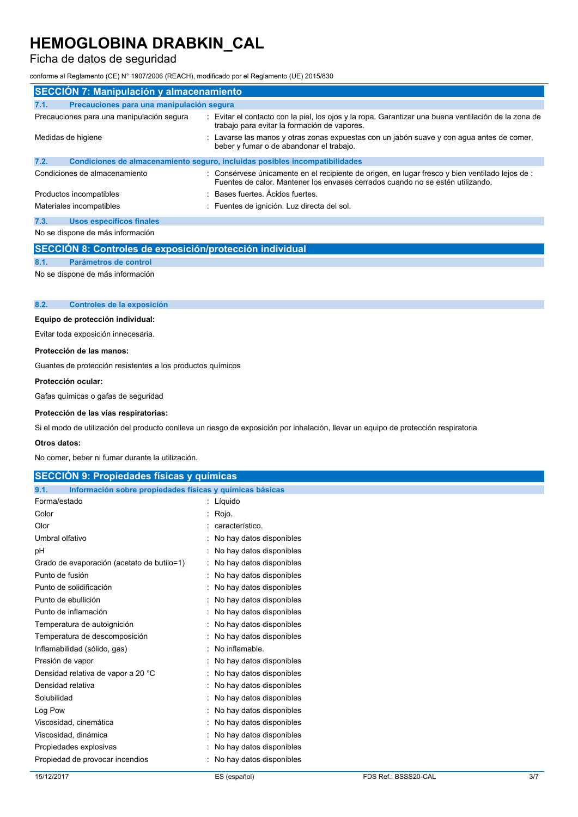### Ficha de datos de seguridad

conforme al Reglamento (CE) N° 1907/2006 (REACH), modificado por el Reglamento (UE) 2015/830

| <b>SECCIÓN 7: Manipulación y almacenamiento</b> |                                                                                                                                                                                   |  |  |  |  |
|-------------------------------------------------|-----------------------------------------------------------------------------------------------------------------------------------------------------------------------------------|--|--|--|--|
| 7.1.                                            | Precauciones para una manipulación segura                                                                                                                                         |  |  |  |  |
| Precauciones para una manipulación segura       | : Evitar el contacto con la piel, los ojos y la ropa. Garantizar una buena ventilación de la zona de<br>trabajo para evitar la formación de vapores.                              |  |  |  |  |
| Medidas de higiene                              | : Lavarse las manos y otras zonas expuestas con un jabón suave y con agua antes de comer,<br>beber y fumar o de abandonar el trabajo.                                             |  |  |  |  |
| 7.2.                                            | Condiciones de almacenamiento seguro, incluidas posibles incompatibilidades                                                                                                       |  |  |  |  |
| Condiciones de almacenamiento                   | : Consérvese únicamente en el recipiente de origen, en lugar fresco y bien ventilado lejos de :<br>Fuentes de calor. Mantener los envases cerrados cuando no se estén utilizando. |  |  |  |  |
| Productos incompatibles                         | Bases fuertes. Ácidos fuertes.                                                                                                                                                    |  |  |  |  |
| Materiales incompatibles                        | : Fuentes de ignición. Luz directa del sol.                                                                                                                                       |  |  |  |  |
| <b>Usos específicos finales</b><br>7.3.         |                                                                                                                                                                                   |  |  |  |  |
| No se dispone de más información                |                                                                                                                                                                                   |  |  |  |  |

|     | SECCIÓN 8: Controles de exposición/protección individual |
|-----|----------------------------------------------------------|
| 8.1 | Parámetros de control                                    |

No se dispone de más información

#### **8.2. Controles de la exposición**

#### **Equipo de protección individual:**

Evitar toda exposición innecesaria.

#### **Protección de las manos:**

Guantes de protección resistentes a los productos químicos

#### **Protección ocular:**

Gafas químicas o gafas de seguridad

#### **Protección de las vías respiratorias:**

Si el modo de utilización del producto conlleva un riesgo de exposición por inhalación, llevar un equipo de protección respiratoria

#### **Otros datos:**

No comer, beber ni fumar durante la utilización.

|      | SECCIÓN 9: Propiedades físicas y químicas                |  |
|------|----------------------------------------------------------|--|
|      |                                                          |  |
| 9.1. | Información sobre propiedades físicas y químicas básicas |  |

| Forma/estado                               | Líquido                  |
|--------------------------------------------|--------------------------|
| Color                                      | Rojo.                    |
| Olor                                       | característico.          |
| Umbral olfativo                            | No hay datos disponibles |
| рH                                         | No hay datos disponibles |
| Grado de evaporación (acetato de butilo=1) | No hay datos disponibles |
| Punto de fusión                            | No hay datos disponibles |
| Punto de solidificación                    | No hay datos disponibles |
| Punto de ebullición                        | No hay datos disponibles |
| Punto de inflamación                       | No hay datos disponibles |
| Temperatura de autoignición                | No hay datos disponibles |
| Temperatura de descomposición              | No hay datos disponibles |
| Inflamabilidad (sólido, gas)               | No inflamable.           |
| Presión de vapor                           | No hay datos disponibles |
| Densidad relativa de vapor a 20 °C         | No hay datos disponibles |
| Densidad relativa                          | No hay datos disponibles |
| Solubilidad                                | No hay datos disponibles |
| Log Pow                                    | No hay datos disponibles |
| Viscosidad, cinemática                     | No hay datos disponibles |
| Viscosidad, dinámica                       | No hay datos disponibles |
| Propiedades explosivas                     | No hay datos disponibles |
| Propiedad de provocar incendios            | No hay datos disponibles |
|                                            |                          |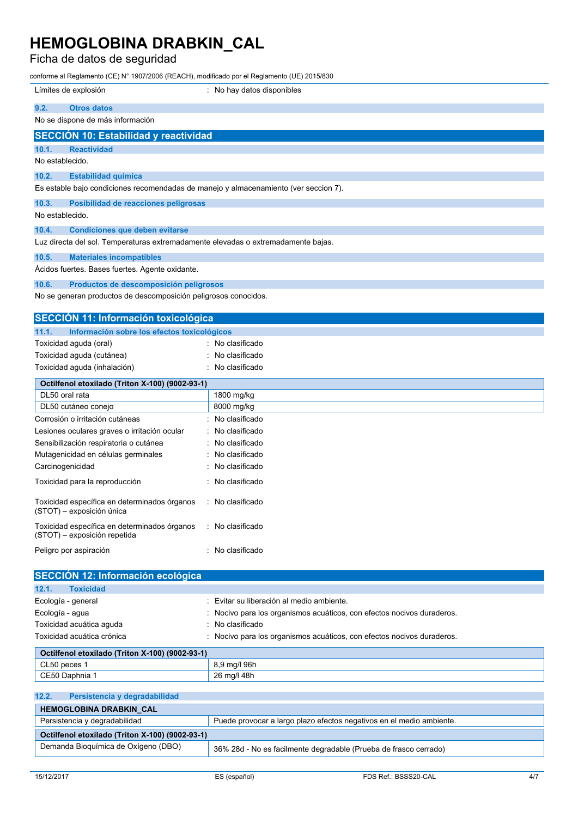## Ficha de datos de seguridad

conforme al Reglamento (CE) N° 1907/2006 (REACH), modificado por el Reglamento (UE) 2015/830

| comonic an regiantento (OE) ivestodo (IREAOH), modificado por en regiantento (OE) zo iologo |                                                                      |
|---------------------------------------------------------------------------------------------|----------------------------------------------------------------------|
| Límites de explosión                                                                        | : No hay datos disponibles                                           |
| 9.2.<br><b>Otros datos</b>                                                                  |                                                                      |
| No se dispone de más información                                                            |                                                                      |
| <b>SECCIÓN 10: Estabilidad y reactividad</b>                                                |                                                                      |
| 10.1.<br><b>Reactividad</b>                                                                 |                                                                      |
| No establecido.                                                                             |                                                                      |
| 10.2.<br><b>Estabilidad química</b>                                                         |                                                                      |
| Es estable bajo condiciones recomendadas de manejo y almacenamiento (ver seccion 7).        |                                                                      |
| 10.3.<br>Posibilidad de reacciones peligrosas                                               |                                                                      |
| No establecido.                                                                             |                                                                      |
|                                                                                             |                                                                      |
| 10.4.<br><b>Condiciones que deben evitarse</b>                                              |                                                                      |
| Luz directa del sol. Temperaturas extremadamente elevadas o extremadamente bajas.           |                                                                      |
| 10.5.<br><b>Materiales incompatibles</b>                                                    |                                                                      |
| Acidos fuertes. Bases fuertes. Agente oxidante.                                             |                                                                      |
| 10.6.<br>Productos de descomposición peligrosos                                             |                                                                      |
| No se generan productos de descomposición peligrosos conocidos.                             |                                                                      |
|                                                                                             |                                                                      |
| <b>SECCIÓN 11: Información toxicológica</b>                                                 |                                                                      |
| 11.1.<br>Información sobre los efectos toxicológicos                                        |                                                                      |
| Toxicidad aguda (oral)                                                                      | No clasificado                                                       |
| Toxicidad aguda (cutánea)                                                                   | No clasificado                                                       |
| Toxicidad aguda (inhalación)                                                                | No clasificado                                                       |
| Octilfenol etoxilado (Triton X-100) (9002-93-1)                                             |                                                                      |
| DL50 oral rata                                                                              | 1800 mg/kg                                                           |
| DL50 cutáneo conejo                                                                         | 8000 mg/kg                                                           |
| Corrosión o irritación cutáneas                                                             | No clasificado                                                       |
| Lesiones oculares graves o irritación ocular                                                | No clasificado                                                       |
| Sensibilización respiratoria o cutánea                                                      | No clasificado                                                       |
| Mutagenicidad en células germinales                                                         | No clasificado                                                       |
| Carcinogenicidad                                                                            | No clasificado                                                       |
| Toxicidad para la reproducción                                                              | No clasificado                                                       |
| Toxicidad específica en determinados órganos                                                | : No clasificado                                                     |
| (STOT) – exposición única                                                                   |                                                                      |
| Toxicidad específica en determinados órganos                                                | : No clasificado                                                     |
| (STOT) - exposición repetida                                                                |                                                                      |
| Peligro por aspiración                                                                      | : No clasificado                                                     |
|                                                                                             |                                                                      |
| SECCIÓN 12: Información ecológica                                                           |                                                                      |
| 12.1.<br><b>Toxicidad</b>                                                                   |                                                                      |
| Ecología - general                                                                          | Evitar su liberación al medio ambiente.                              |
| Ecología - agua                                                                             | Nocivo para los organismos acuáticos, con efectos nocivos duraderos. |
| Toxicidad acuática aguda                                                                    | No clasificado                                                       |
| Toxicidad acuática crónica                                                                  | Nocivo para los organismos acuáticos, con efectos nocivos duraderos. |
|                                                                                             |                                                                      |
| Octilfenol etoxilado (Triton X-100) (9002-93-1)<br>CL50 peces 1                             | 8,9 mg/l 96h                                                         |
| CE50 Daphnia 1                                                                              | 26 mg/l 48h                                                          |

| 12.2.<br>Persistencia y degradabilidad          |                                                                      |
|-------------------------------------------------|----------------------------------------------------------------------|
| <b>HEMOGLOBINA DRABKIN CAL</b>                  |                                                                      |
| Persistencia y degradabilidad                   | Puede provocar a largo plazo efectos negativos en el medio ambiente. |
| Octilfenol etoxilado (Triton X-100) (9002-93-1) |                                                                      |
| Demanda Bioguímica de Oxígeno (DBO)             | 36% 28d - No es facilmente degradable (Prueba de frasco cerrado)     |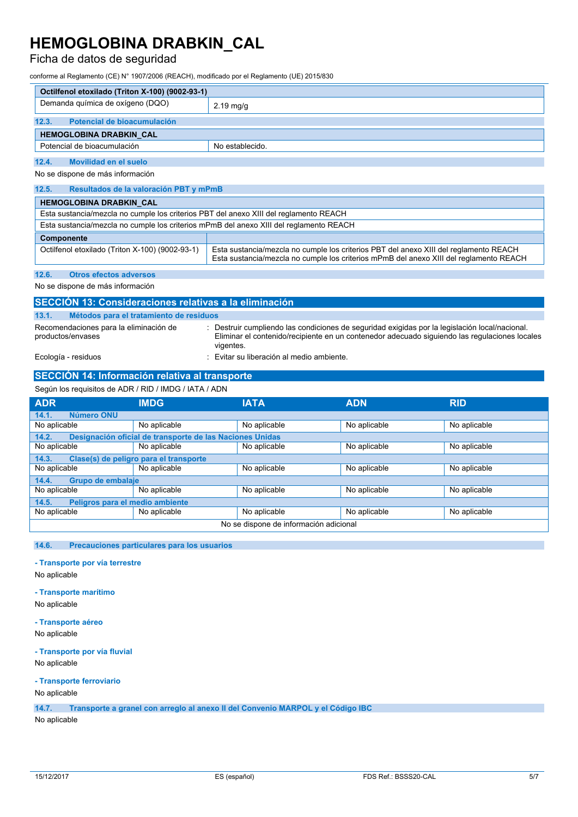### Ficha de datos de seguridad

conforme al Reglamento (CE) N° 1907/2006 (REACH), modificado por el Reglamento (UE) 2015/830

| Octilfenol etoxilado (Triton X-100) (9002-93-1) |                     |  |
|-------------------------------------------------|---------------------|--|
| Demanda química de oxígeno (DQO)                | $2.19 \text{ mg/g}$ |  |
| 12.3.<br>Potencial de bioacumulación            |                     |  |
| <b>HEMOGLOBINA DRABKIN CAL</b>                  |                     |  |
| Potencial de bioacumulación                     | No establecido.     |  |
| 12.4.<br>Movilidad en el suelo                  |                     |  |

No se dispone de más información

| 12.5.<br>Resultados de la valoración PBT y mPmB                                                                                                                                                                                    |  |  |  |
|------------------------------------------------------------------------------------------------------------------------------------------------------------------------------------------------------------------------------------|--|--|--|
| <b>HEMOGLOBINA DRABKIN CAL</b>                                                                                                                                                                                                     |  |  |  |
| Esta sustancia/mezcla no cumple los criterios PBT del anexo XIII del reglamento REACH                                                                                                                                              |  |  |  |
| Esta sustancia/mezcla no cumple los criterios mPmB del anexo XIII del reglamento REACH                                                                                                                                             |  |  |  |
| Componente                                                                                                                                                                                                                         |  |  |  |
| Esta sustancia/mezcla no cumple los criterios PBT del anexo XIII del reglamento REACH<br>Octilfenol etoxilado (Triton X-100) (9002-93-1)<br>Esta sustancia/mezcla no cumple los criterios mPmB del anexo XIII del reglamento REACH |  |  |  |

**12.6. Otros efectos adversos**

No se dispone de más información

| SECCIÓN 13: Consideraciones relativas a la eliminación      |                                                                                                                                                                                                            |  |  |  |  |
|-------------------------------------------------------------|------------------------------------------------------------------------------------------------------------------------------------------------------------------------------------------------------------|--|--|--|--|
| 13.1.                                                       | Métodos para el tratamiento de residuos                                                                                                                                                                    |  |  |  |  |
| Recomendaciones para la eliminación de<br>productos/envases | Destruir cumpliendo las condiciones de seguridad exigidas por la legislación local/nacional.<br>Eliminar el contenido/recipiente en un contenedor adecuado siguiendo las regulaciones locales<br>vigentes. |  |  |  |  |
| Ecología - residuos                                         | : Evitar su liberación al medio ambiente.                                                                                                                                                                  |  |  |  |  |

#### **SECCIÓN 14: Información relativa al transporte** Según los requisitos de ADR / RID / IMDG / IATA / ADN

| Sequn los requisitos de ADR / RID / IMDG / IATA / ADN |                                                          |              |              |              |  |
|-------------------------------------------------------|----------------------------------------------------------|--------------|--------------|--------------|--|
| <b>ADR</b>                                            | <b>IMDG</b>                                              | <b>IATA</b>  | <b>ADN</b>   | <b>RID</b>   |  |
| Número ONU<br>14.1.                                   |                                                          |              |              |              |  |
| No aplicable                                          | No aplicable                                             | No aplicable | No aplicable | No aplicable |  |
| 14.2.                                                 | Designación oficial de transporte de las Naciones Unidas |              |              |              |  |
| No aplicable                                          | No aplicable                                             | No aplicable | No aplicable | No aplicable |  |
| 14.3.                                                 | Clase(s) de peligro para el transporte                   |              |              |              |  |
| No aplicable                                          | No aplicable                                             | No aplicable | No aplicable | No aplicable |  |
| Grupo de embalaje<br>14.4.                            |                                                          |              |              |              |  |
| No aplicable                                          | No aplicable                                             | No aplicable | No aplicable | No aplicable |  |
| Peligros para el medio ambiente<br>14.5.              |                                                          |              |              |              |  |
| No aplicable                                          | No aplicable                                             | No aplicable | No aplicable | No aplicable |  |
| No se dispone de información adicional                |                                                          |              |              |              |  |

#### **14.6. Precauciones particulares para los usuarios**

#### **- Transporte por vía terrestre**

No aplicable

#### **- Transporte marítimo**

No aplicable

#### **- Transporte aéreo**

No aplicable

#### **- Transporte por vía fluvial**

No aplicable

#### **- Transporte ferroviario**

### No aplicable

**14.7. Transporte a granel con arreglo al anexo II del Convenio MARPOL y el Código IBC**

#### No aplicable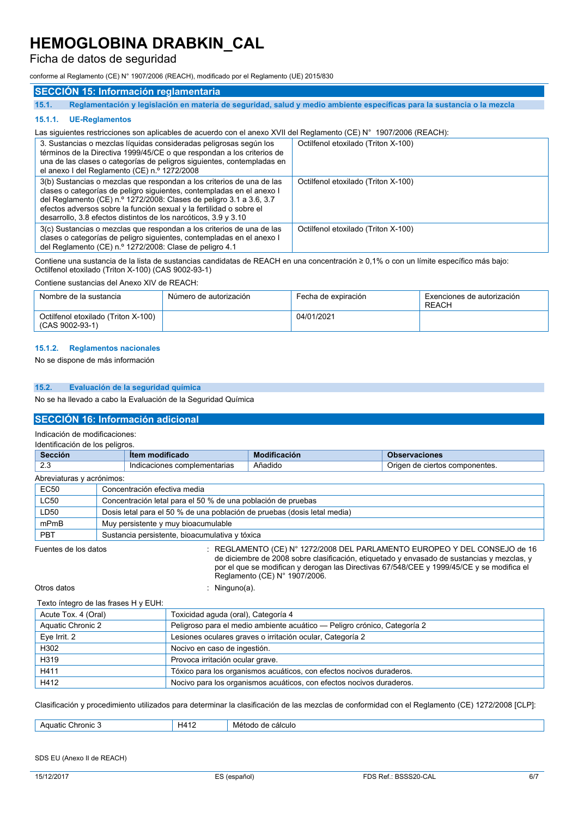### Ficha de datos de seguridad

conforme al Reglamento (CE) N° 1907/2006 (REACH), modificado por el Reglamento (UE) 2015/830

### **SECCIÓN 15: Información reglamentaria**

15.1. Reglamentación y legislación en materia de seguridad, salud y medio ambiente específicas para la sustancia o la mezcla

#### **15.1.1. UE-Reglamentos**

#### Las siguientes restricciones son aplicables de acuerdo con el anexo XVII del Reglamento (CE) N° 1907/2006 (REACH):

| 3. Sustancias o mezclas líquidas consideradas peligrosas según los<br>términos de la Directiva 1999/45/CE o que respondan a los criterios de<br>una de las clases o categorías de peligros siguientes, contempladas en<br>el anexo I del Reglamento (CE) n.º 1272/2008                                                                                          | Octilfenol etoxilado (Triton X-100) |
|-----------------------------------------------------------------------------------------------------------------------------------------------------------------------------------------------------------------------------------------------------------------------------------------------------------------------------------------------------------------|-------------------------------------|
| 3(b) Sustancias o mezclas que respondan a los criterios de una de las<br>clases o categorías de peligro siguientes, contempladas en el anexo l<br>del Reglamento (CE) n.º 1272/2008: Clases de peligro 3.1 a 3.6, 3.7<br>efectos adversos sobre la función sexual y la fertilidad o sobre el<br>desarrollo, 3.8 efectos distintos de los narcóticos, 3.9 y 3.10 | Octilfenol etoxilado (Triton X-100) |
| 3(c) Sustancias o mezclas que respondan a los criterios de una de las<br>clases o categorías de peligro siguientes, contempladas en el anexo l<br>del Reglamento (CE) n.º 1272/2008: Clase de peligro 4.1                                                                                                                                                       | Octilfenol etoxilado (Triton X-100) |

Contiene una sustancia de la lista de sustancias candidatas de REACH en una concentración ≥ 0,1% o con un límite específico más bajo: Octilfenol etoxilado (Triton X-100) (CAS 9002-93-1)

#### Contiene sustancias del Anexo XIV de REACH:

| Nombre de la sustancia                                 | Número de autorización | Fecha de expiración | Exenciones de autorización<br>REACH |
|--------------------------------------------------------|------------------------|---------------------|-------------------------------------|
| Octilfenol etoxilado (Triton X-100)<br>(CAS 9002-93-1) |                        | 04/01/2021          |                                     |

#### **15.1.2. Reglamentos nacionales**

No se dispone de más información

#### **15.2. Evaluación de la seguridad química**

No se ha llevado a cabo la Evaluación de la Seguridad Química

#### **SECCIÓN 16: Información adicional**

Indicación de modificaciones:

| Identificación de los peligros. |                                                                          |                                                |                     |                                                                                                                                                                         |
|---------------------------------|--------------------------------------------------------------------------|------------------------------------------------|---------------------|-------------------------------------------------------------------------------------------------------------------------------------------------------------------------|
| <b>Sección</b>                  |                                                                          | <b>Item modificado</b>                         | <b>Modificación</b> | <b>Observaciones</b>                                                                                                                                                    |
| 2.3                             |                                                                          | Indicaciones complementarias                   | Añadido             | Origen de ciertos componentes.                                                                                                                                          |
| Abreviaturas y acrónimos:       |                                                                          |                                                |                     |                                                                                                                                                                         |
| <b>EC50</b>                     | Concentración efectiva media                                             |                                                |                     |                                                                                                                                                                         |
| <b>LC50</b>                     | Concentración letal para el 50 % de una población de pruebas             |                                                |                     |                                                                                                                                                                         |
| LD50                            | Dosis letal para el 50 % de una población de pruebas (dosis letal media) |                                                |                     |                                                                                                                                                                         |
| mPmB                            |                                                                          | Muy persistente y muy bioacumulable            |                     |                                                                                                                                                                         |
| <b>PBT</b>                      |                                                                          | Sustancia persistente, bioacumulativa y tóxica |                     |                                                                                                                                                                         |
| Fuentes de los datos            |                                                                          |                                                |                     | : REGLAMENTO (CE) N° 1272/2008 DEL PARLAMENTO EUROPEO Y DEL CONSEJO de 16<br>de diciembre de 2008 sobre clasificación, etiquetado y envasado de sustancias y mezclas, y |

por el que se modifican y derogan las Directivas 67/548/CEE y 1999/45/CE y se modifica el Reglamento (CE) N° 1907/2006.

Otros datos : Ninguno(a).

| Texto íntegro de las frases H y EUH: |                                                                          |
|--------------------------------------|--------------------------------------------------------------------------|
| Acute Tox. 4 (Oral)                  | Toxicidad aguda (oral), Categoría 4                                      |
| Aquatic Chronic 2                    | Peligroso para el medio ambiente acuático — Peligro crónico, Categoría 2 |
| Eve Irrit. 2                         | Lesiones oculares graves o irritación ocular, Categoría 2                |
| H302                                 | Nocivo en caso de ingestión.                                             |
| H319                                 | Provoca irritación ocular grave.                                         |
| H411                                 | Tóxico para los organismos acuáticos, con efectos nocivos duraderos.     |
| H412                                 | Nocivo para los organismos acuáticos, con efectos nocivos duraderos.     |

Clasificación y procedimiento utilizados para determinar la clasificación de las mezclas de conformidad con el Reglamento (CE) 1272/2008 [CLP]:

|  | hronic.<br>iatic<br>AOI<br>$\sim$ | I 4<br>чи<br>- ہ | e calculo<br>ae<br><b>MPT</b><br>roao |
|--|-----------------------------------|------------------|---------------------------------------|
|--|-----------------------------------|------------------|---------------------------------------|

#### SDS EU (Anexo II de REACH)